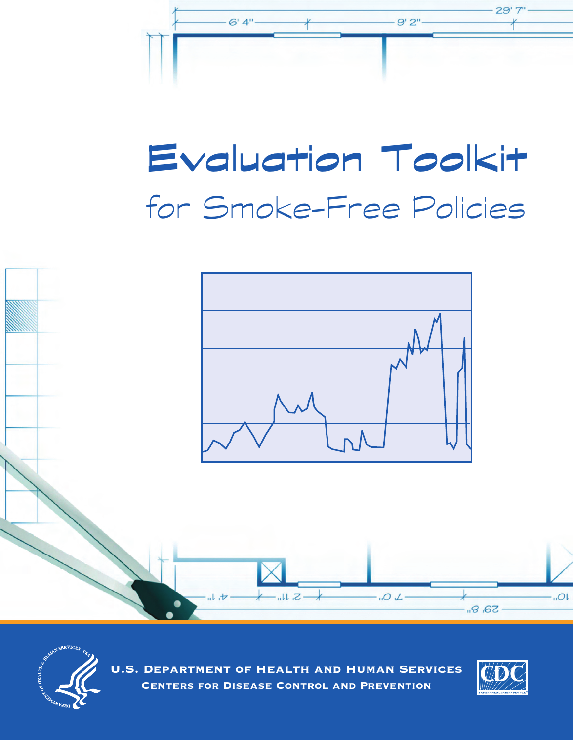

# Evaluation Toolkit for Smoke-Free Policies





U.S. Department of Health and Human Services Centers for Disease Control and Prevention

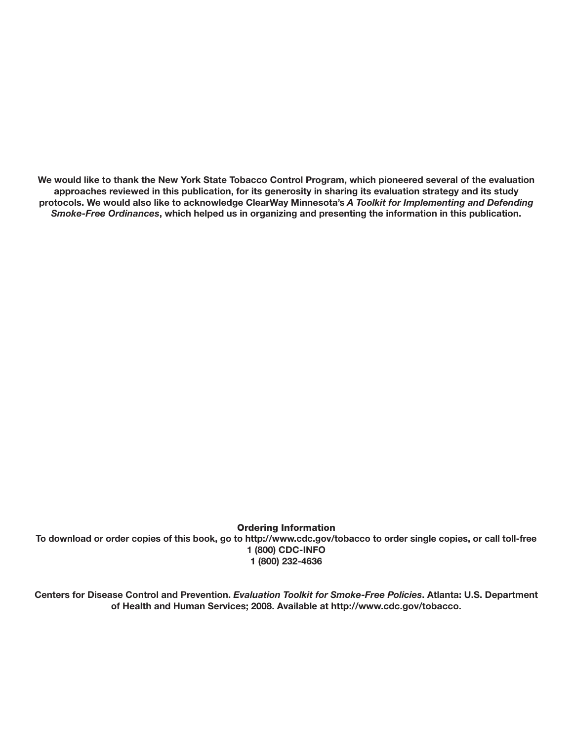**We would like to thank the New York State Tobacco Control Program, which pioneered several of the evaluation approaches reviewed in this publication, for its generosity in sharing its evaluation strategy and its study protocols. We would also like to acknowledge ClearWay Minnesota's** *A Toolkit for Implementing and Defending Smoke-Free Ordinances***, which helped us in organizing and presenting the information in this publication.** 

Ordering Information **To download or order copies of this book, go to http://www.cdc.gov/tobacco to order single copies, or call toll-free 1 (800) CDC-INFO 1 (800) 232-4636** 

**Centers for Disease Control and Prevention.** *Evaluation Toolkit for Smoke-Free Policies***. Atlanta: U.S. Department of Health and Human Services; 2008. Available at http://www.cdc.gov/tobacco.**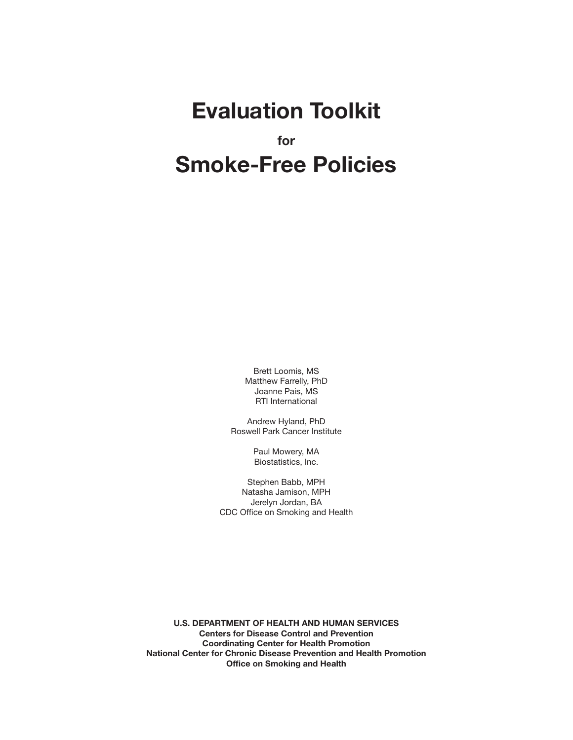# **Evaluation Toolkit for Smoke-Free Policies**

Brett Loomis, MS Matthew Farrelly, PhD Joanne Pais, MS RTI International

Andrew Hyland, PhD Roswell Park Cancer Institute

> Paul Mowery, MA Biostatistics, Inc.

Stephen Babb, MPH Natasha Jamison, MPH Jerelyn Jordan, BA CDC Office on Smoking and Health

**U.S. DEPARTMENT OF HEALTH AND HUMAN SERVICES Centers for Disease Control and Prevention Coordinating Center for Health Promotion National Center for Chronic Disease Prevention and Health Promotion Office on Smoking and Health**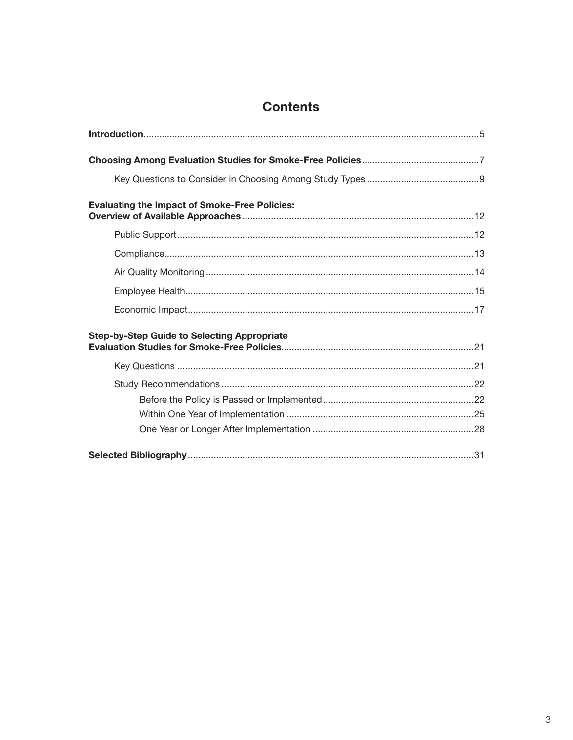# **Contents**

| <b>Evaluating the Impact of Smoke-Free Policies:</b> |
|------------------------------------------------------|
|                                                      |
|                                                      |
|                                                      |
|                                                      |
|                                                      |
| <b>Step-by-Step Guide to Selecting Appropriate</b>   |
|                                                      |
|                                                      |
|                                                      |
|                                                      |
|                                                      |
|                                                      |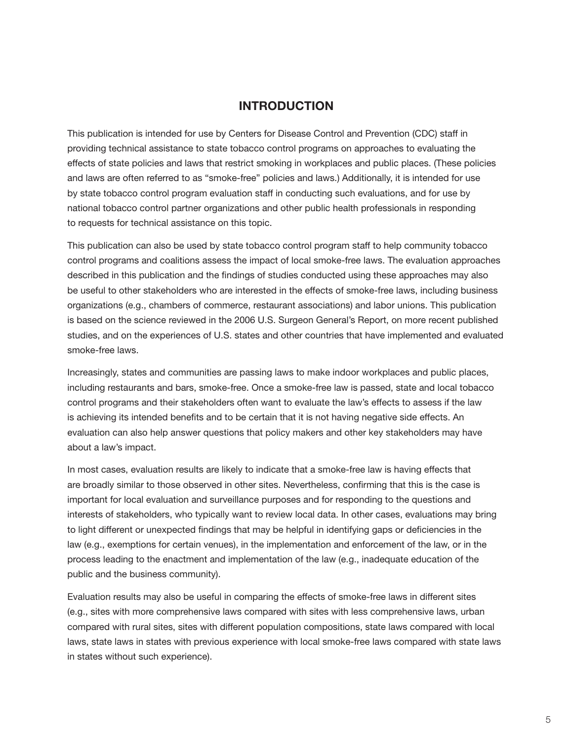# **INTRODUCTION**

This publication is intended for use by Centers for Disease Control and Prevention (CDC) staff in providing technical assistance to state tobacco control programs on approaches to evaluating the effects of state policies and laws that restrict smoking in workplaces and public places. (These policies and laws are often referred to as "smoke-free" policies and laws.) Additionally, it is intended for use by state tobacco control program evaluation staff in conducting such evaluations, and for use by national tobacco control partner organizations and other public health professionals in responding to requests for technical assistance on this topic.

This publication can also be used by state tobacco control program staff to help community tobacco control programs and coalitions assess the impact of local smoke-free laws. The evaluation approaches described in this publication and the findings of studies conducted using these approaches may also be useful to other stakeholders who are interested in the effects of smoke-free laws, including business organizations (e.g., chambers of commerce, restaurant associations) and labor unions. This publication is based on the science reviewed in the 2006 U.S. Surgeon General's Report, on more recent published studies, and on the experiences of U.S. states and other countries that have implemented and evaluated smoke-free laws.

Increasingly, states and communities are passing laws to make indoor workplaces and public places, including restaurants and bars, smoke-free. Once a smoke-free law is passed, state and local tobacco control programs and their stakeholders often want to evaluate the law's effects to assess if the law is achieving its intended benefits and to be certain that it is not having negative side effects. An evaluation can also help answer questions that policy makers and other key stakeholders may have about a law's impact.

In most cases, evaluation results are likely to indicate that a smoke-free law is having effects that are broadly similar to those observed in other sites. Nevertheless, confirming that this is the case is important for local evaluation and surveillance purposes and for responding to the questions and interests of stakeholders, who typically want to review local data. In other cases, evaluations may bring to light different or unexpected findings that may be helpful in identifying gaps or deficiencies in the law (e.g., exemptions for certain venues), in the implementation and enforcement of the law, or in the process leading to the enactment and implementation of the law (e.g., inadequate education of the public and the business community).

Evaluation results may also be useful in comparing the effects of smoke-free laws in different sites (e.g., sites with more comprehensive laws compared with sites with less comprehensive laws, urban compared with rural sites, sites with different population compositions, state laws compared with local laws, state laws in states with previous experience with local smoke-free laws compared with state laws in states without such experience).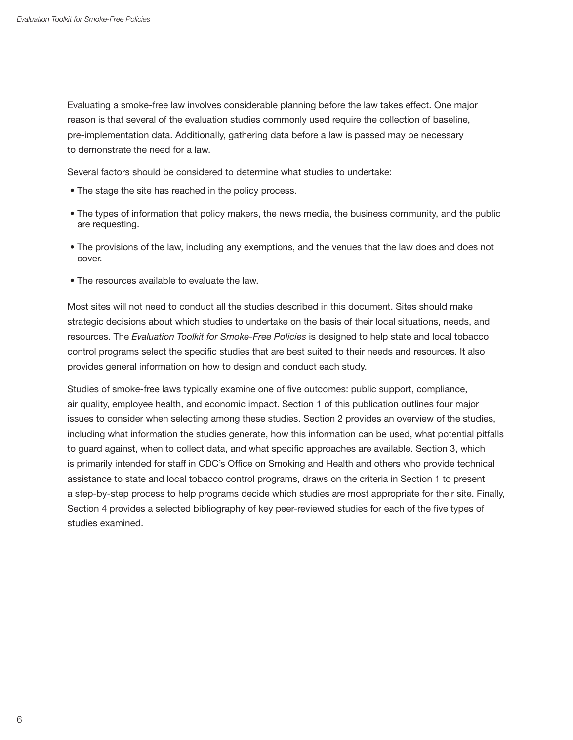Evaluating a smoke-free law involves considerable planning before the law takes effect. One major reason is that several of the evaluation studies commonly used require the collection of baseline, pre-implementation data. Additionally, gathering data before a law is passed may be necessary to demonstrate the need for a law.

Several factors should be considered to determine what studies to undertake:

- The stage the site has reached in the policy process.
- The types of information that policy makers, the news media, the business community, and the public are requesting.
- The provisions of the law, including any exemptions, and the venues that the law does and does not cover.
- The resources available to evaluate the law.

Most sites will not need to conduct all the studies described in this document. Sites should make strategic decisions about which studies to undertake on the basis of their local situations, needs, and resources. The *Evaluation Toolkit for Smoke-Free Policies* is designed to help state and local tobacco control programs select the specific studies that are best suited to their needs and resources. It also provides general information on how to design and conduct each study.

Studies of smoke-free laws typically examine one of five outcomes: public support, compliance, air quality, employee health, and economic impact. Section 1 of this publication outlines four major issues to consider when selecting among these studies. Section 2 provides an overview of the studies, including what information the studies generate, how this information can be used, what potential pitfalls to guard against, when to collect data, and what specific approaches are available. Section 3, which is primarily intended for staff in CDC's Office on Smoking and Health and others who provide technical assistance to state and local tobacco control programs, draws on the criteria in Section 1 to present a step-by-step process to help programs decide which studies are most appropriate for their site. Finally, Section 4 provides a selected bibliography of key peer-reviewed studies for each of the five types of studies examined.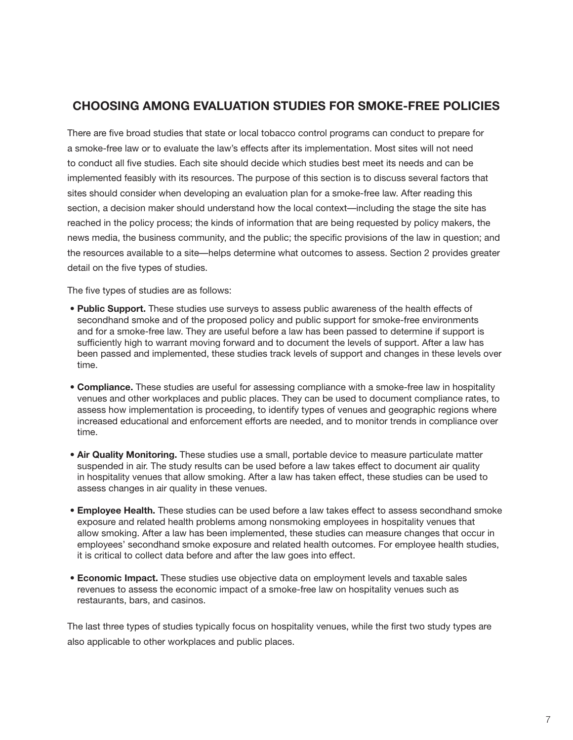# **CHOOSING AMONG EVALUATION STUDIES FOR SMOkE-FREE POLICIES**

There are five broad studies that state or local tobacco control programs can conduct to prepare for a smoke-free law or to evaluate the law's effects after its implementation. Most sites will not need to conduct all five studies. Each site should decide which studies best meet its needs and can be implemented feasibly with its resources. The purpose of this section is to discuss several factors that sites should consider when developing an evaluation plan for a smoke-free law. After reading this section, a decision maker should understand how the local context—including the stage the site has reached in the policy process; the kinds of information that are being requested by policy makers, the news media, the business community, and the public; the specific provisions of the law in question; and the resources available to a site—helps determine what outcomes to assess. Section 2 provides greater detail on the five types of studies.

The five types of studies are as follows:

- **Public Support.** These studies use surveys to assess public awareness of the health effects of secondhand smoke and of the proposed policy and public support for smoke-free environments and for a smoke-free law. They are useful before a law has been passed to determine if support is sufficiently high to warrant moving forward and to document the levels of support. After a law has been passed and implemented, these studies track levels of support and changes in these levels over time.
- **Compliance.** These studies are useful for assessing compliance with a smoke-free law in hospitality venues and other workplaces and public places. They can be used to document compliance rates, to assess how implementation is proceeding, to identify types of venues and geographic regions where increased educational and enforcement efforts are needed, and to monitor trends in compliance over time.
- **Air Quality Monitoring.** These studies use a small, portable device to measure particulate matter suspended in air. The study results can be used before a law takes effect to document air quality in hospitality venues that allow smoking. After a law has taken effect, these studies can be used to assess changes in air quality in these venues.
- **Employee Health.** These studies can be used before a law takes effect to assess secondhand smoke exposure and related health problems among nonsmoking employees in hospitality venues that allow smoking. After a law has been implemented, these studies can measure changes that occur in employees' secondhand smoke exposure and related health outcomes. For employee health studies, it is critical to collect data before and after the law goes into effect.
- **Economic Impact.** These studies use objective data on employment levels and taxable sales revenues to assess the economic impact of a smoke-free law on hospitality venues such as restaurants, bars, and casinos.

The last three types of studies typically focus on hospitality venues, while the first two study types are also applicable to other workplaces and public places.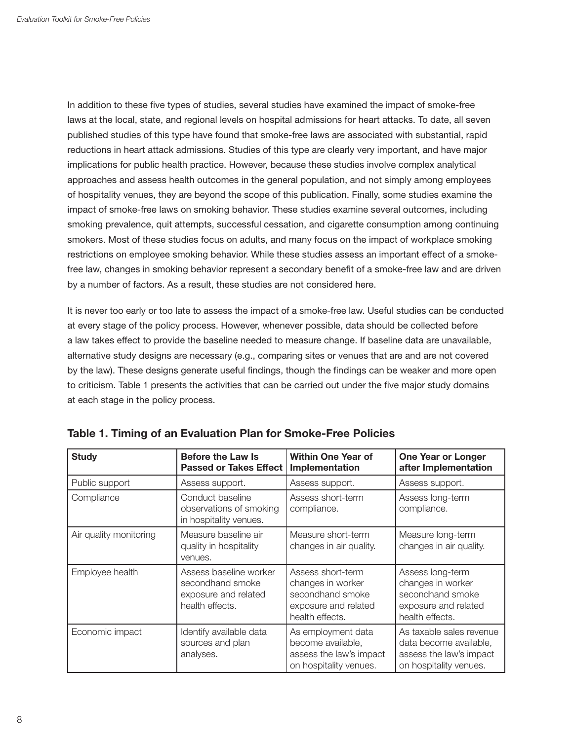In addition to these five types of studies, several studies have examined the impact of smoke-free laws at the local, state, and regional levels on hospital admissions for heart attacks. To date, all seven published studies of this type have found that smoke-free laws are associated with substantial, rapid reductions in heart attack admissions. Studies of this type are clearly very important, and have major implications for public health practice. However, because these studies involve complex analytical approaches and assess health outcomes in the general population, and not simply among employees of hospitality venues, they are beyond the scope of this publication. Finally, some studies examine the impact of smoke-free laws on smoking behavior. These studies examine several outcomes, including smoking prevalence, quit attempts, successful cessation, and cigarette consumption among continuing smokers. Most of these studies focus on adults, and many focus on the impact of workplace smoking restrictions on employee smoking behavior. While these studies assess an important effect of a smokefree law, changes in smoking behavior represent a secondary benefit of a smoke-free law and are driven by a number of factors. As a result, these studies are not considered here.

It is never too early or too late to assess the impact of a smoke-free law. Useful studies can be conducted at every stage of the policy process. However, whenever possible, data should be collected before a law takes effect to provide the baseline needed to measure change. If baseline data are unavailable, alternative study designs are necessary (e.g., comparing sites or venues that are and are not covered by the law). These designs generate useful findings, though the findings can be weaker and more open to criticism. Table 1 presents the activities that can be carried out under the five major study domains at each stage in the policy process.

| <b>Study</b>           | <b>Before the Law Is</b><br><b>Passed or Takes Effect</b>                             | <b>Within One Year of</b><br>Implementation                                                           | <b>One Year or Longer</b><br>after Implementation                                                       |
|------------------------|---------------------------------------------------------------------------------------|-------------------------------------------------------------------------------------------------------|---------------------------------------------------------------------------------------------------------|
| Public support         | Assess support.                                                                       | Assess support.                                                                                       | Assess support.                                                                                         |
| Compliance             | Conduct baseline<br>observations of smoking<br>in hospitality venues.                 | Assess short-term<br>compliance.                                                                      | Assess long-term<br>compliance.                                                                         |
| Air quality monitoring | Measure baseline air<br>quality in hospitality<br>venues.                             | Measure short-term<br>changes in air quality.                                                         | Measure long-term<br>changes in air quality.                                                            |
| Employee health        | Assess baseline worker<br>secondhand smoke<br>exposure and related<br>health effects. | Assess short-term<br>changes in worker<br>secondhand smoke<br>exposure and related<br>health effects. | Assess long-term<br>changes in worker<br>secondhand smoke<br>exposure and related<br>health effects.    |
| Economic impact        | Identify available data<br>sources and plan<br>analyses.                              | As employment data<br>become available,<br>assess the law's impact<br>on hospitality venues.          | As taxable sales revenue<br>data become available,<br>assess the law's impact<br>on hospitality venues. |

**Table 1. Timing of an Evaluation Plan for Smoke-Free Policies**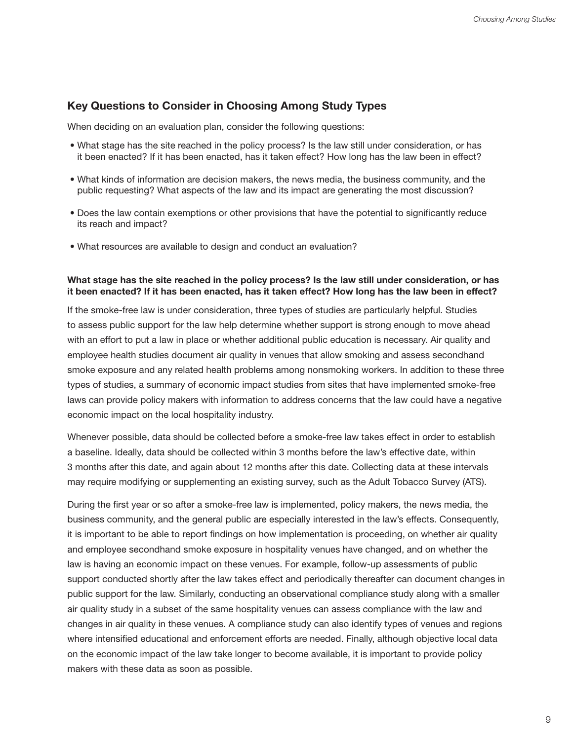# **key Questions to Consider in Choosing Among Study Types**

When deciding on an evaluation plan, consider the following questions:

- What stage has the site reached in the policy process? Is the law still under consideration, or has it been enacted? If it has been enacted, has it taken effect? How long has the law been in effect?
- What kinds of information are decision makers, the news media, the business community, and the public requesting? What aspects of the law and its impact are generating the most discussion?
- Does the law contain exemptions or other provisions that have the potential to significantly reduce its reach and impact?
- What resources are available to design and conduct an evaluation?

#### **What stage has the site reached in the policy process? Is the law still under consideration, or has it been enacted? If it has been enacted, has it taken effect? How long has the law been in effect?**

If the smoke-free law is under consideration, three types of studies are particularly helpful. Studies to assess public support for the law help determine whether support is strong enough to move ahead with an effort to put a law in place or whether additional public education is necessary. Air quality and employee health studies document air quality in venues that allow smoking and assess secondhand smoke exposure and any related health problems among nonsmoking workers. In addition to these three types of studies, a summary of economic impact studies from sites that have implemented smoke-free laws can provide policy makers with information to address concerns that the law could have a negative economic impact on the local hospitality industry.

Whenever possible, data should be collected before a smoke-free law takes effect in order to establish a baseline. Ideally, data should be collected within 3 months before the law's effective date, within 3 months after this date, and again about 12 months after this date. Collecting data at these intervals may require modifying or supplementing an existing survey, such as the Adult Tobacco Survey (ATS).

During the first year or so after a smoke-free law is implemented, policy makers, the news media, the business community, and the general public are especially interested in the law's effects. Consequently, it is important to be able to report findings on how implementation is proceeding, on whether air quality and employee secondhand smoke exposure in hospitality venues have changed, and on whether the law is having an economic impact on these venues. For example, follow-up assessments of public support conducted shortly after the law takes effect and periodically thereafter can document changes in public support for the law. Similarly, conducting an observational compliance study along with a smaller air quality study in a subset of the same hospitality venues can assess compliance with the law and changes in air quality in these venues. A compliance study can also identify types of venues and regions where intensified educational and enforcement efforts are needed. Finally, although objective local data on the economic impact of the law take longer to become available, it is important to provide policy makers with these data as soon as possible.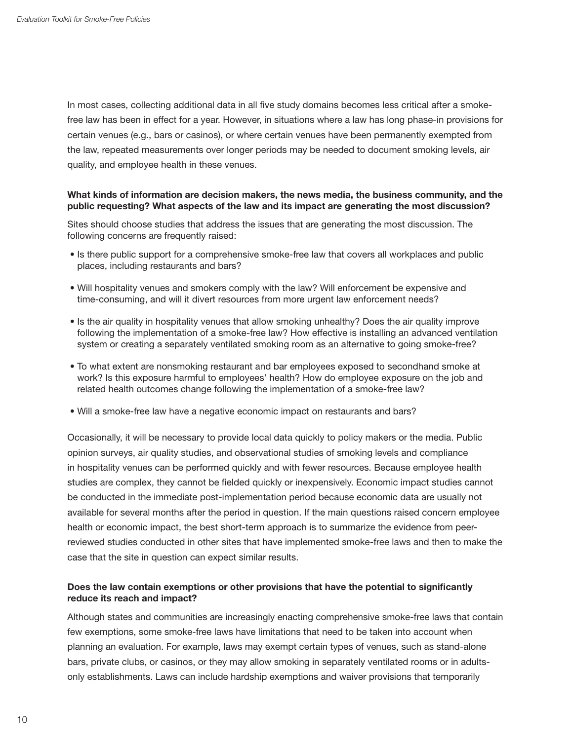In most cases, collecting additional data in all five study domains becomes less critical after a smokefree law has been in effect for a year. However, in situations where a law has long phase-in provisions for certain venues (e.g., bars or casinos), or where certain venues have been permanently exempted from the law, repeated measurements over longer periods may be needed to document smoking levels, air quality, and employee health in these venues.

#### **What kinds of information are decision makers, the news media, the business community, and the public requesting? What aspects of the law and its impact are generating the most discussion?**

Sites should choose studies that address the issues that are generating the most discussion. The following concerns are frequently raised:

- Is there public support for a comprehensive smoke-free law that covers all workplaces and public places, including restaurants and bars?
- Will hospitality venues and smokers comply with the law? Will enforcement be expensive and time-consuming, and will it divert resources from more urgent law enforcement needs?
- Is the air quality in hospitality venues that allow smoking unhealthy? Does the air quality improve following the implementation of a smoke-free law? How effective is installing an advanced ventilation system or creating a separately ventilated smoking room as an alternative to going smoke-free?
- To what extent are nonsmoking restaurant and bar employees exposed to secondhand smoke at work? Is this exposure harmful to employees' health? How do employee exposure on the job and related health outcomes change following the implementation of a smoke-free law?
- Will a smoke-free law have a negative economic impact on restaurants and bars?

Occasionally, it will be necessary to provide local data quickly to policy makers or the media. Public opinion surveys, air quality studies, and observational studies of smoking levels and compliance in hospitality venues can be performed quickly and with fewer resources. Because employee health studies are complex, they cannot be fielded quickly or inexpensively. Economic impact studies cannot be conducted in the immediate post-implementation period because economic data are usually not available for several months after the period in question. If the main questions raised concern employee health or economic impact, the best short-term approach is to summarize the evidence from peerreviewed studies conducted in other sites that have implemented smoke-free laws and then to make the case that the site in question can expect similar results.

#### **Does the law contain exemptions or other provisions that have the potential to significantly reduce its reach and impact?**

Although states and communities are increasingly enacting comprehensive smoke-free laws that contain few exemptions, some smoke-free laws have limitations that need to be taken into account when planning an evaluation. For example, laws may exempt certain types of venues, such as stand-alone bars, private clubs, or casinos, or they may allow smoking in separately ventilated rooms or in adultsonly establishments. Laws can include hardship exemptions and waiver provisions that temporarily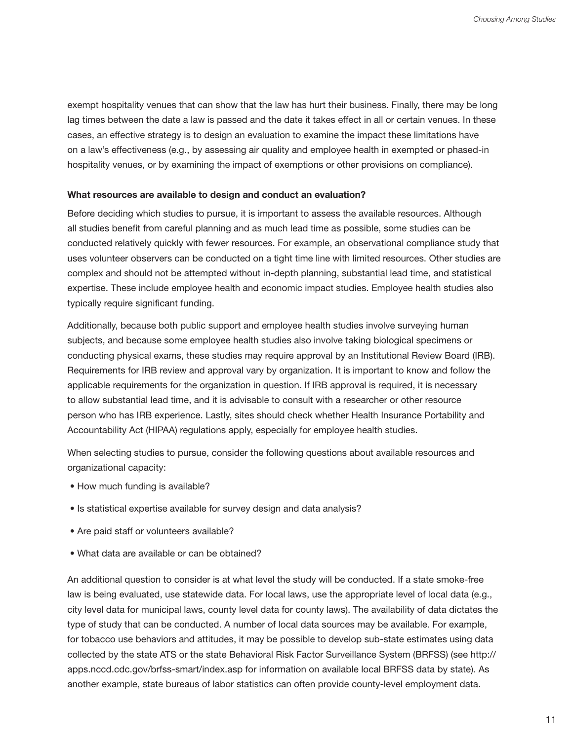exempt hospitality venues that can show that the law has hurt their business. Finally, there may be long lag times between the date a law is passed and the date it takes effect in all or certain venues. In these cases, an effective strategy is to design an evaluation to examine the impact these limitations have on a law's effectiveness (e.g., by assessing air quality and employee health in exempted or phased-in hospitality venues, or by examining the impact of exemptions or other provisions on compliance).

#### **What resources are available to design and conduct an evaluation?**

Before deciding which studies to pursue, it is important to assess the available resources. Although all studies benefit from careful planning and as much lead time as possible, some studies can be conducted relatively quickly with fewer resources. For example, an observational compliance study that uses volunteer observers can be conducted on a tight time line with limited resources. Other studies are complex and should not be attempted without in-depth planning, substantial lead time, and statistical expertise. These include employee health and economic impact studies. Employee health studies also typically require significant funding.

Additionally, because both public support and employee health studies involve surveying human subjects, and because some employee health studies also involve taking biological specimens or conducting physical exams, these studies may require approval by an Institutional Review Board (IRB). Requirements for IRB review and approval vary by organization. It is important to know and follow the applicable requirements for the organization in question. If IRB approval is required, it is necessary to allow substantial lead time, and it is advisable to consult with a researcher or other resource person who has IRB experience. Lastly, sites should check whether Health Insurance Portability and Accountability Act (HIPAA) regulations apply, especially for employee health studies.

When selecting studies to pursue, consider the following questions about available resources and organizational capacity:

- How much funding is available?
- Is statistical expertise available for survey design and data analysis?
- Are paid staff or volunteers available?
- What data are available or can be obtained?

An additional question to consider is at what level the study will be conducted. If a state smoke-free law is being evaluated, use statewide data. For local laws, use the appropriate level of local data (e.g., city level data for municipal laws, county level data for county laws). The availability of data dictates the type of study that can be conducted. A number of local data sources may be available. For example, for tobacco use behaviors and attitudes, it may be possible to develop sub-state estimates using data collected by the state ATS or the state Behavioral Risk Factor Surveillance System (BRFSS) (see http:// apps.nccd.cdc.gov/brfss-smart/index.asp for information on available local BRFSS data by state). As another example, state bureaus of labor statistics can often provide county-level employment data.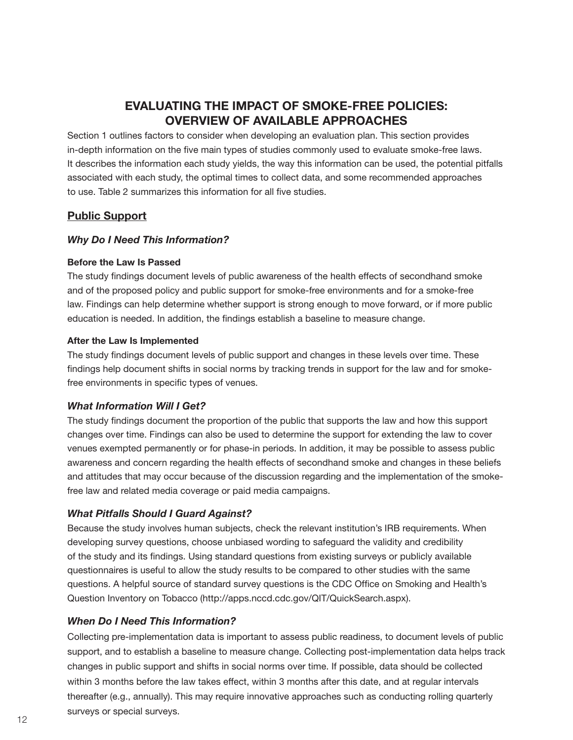# **EVALUATING THE IMPACT OF SMOkE-FREE POLICIES: OVERVIEW OF AVAILABLE APPROACHES**

Section 1 outlines factors to consider when developing an evaluation plan. This section provides in-depth information on the five main types of studies commonly used to evaluate smoke-free laws. It describes the information each study yields, the way this information can be used, the potential pitfalls associated with each study, the optimal times to collect data, and some recommended approaches to use. Table 2 summarizes this information for all five studies.

# **Public Support**

#### *Why Do I Need This Information?*

#### **Before the Law Is Passed**

The study findings document levels of public awareness of the health effects of secondhand smoke and of the proposed policy and public support for smoke-free environments and for a smoke-free law. Findings can help determine whether support is strong enough to move forward, or if more public education is needed. In addition, the findings establish a baseline to measure change.

#### **After the Law Is Implemented**

The study findings document levels of public support and changes in these levels over time. These findings help document shifts in social norms by tracking trends in support for the law and for smokefree environments in specific types of venues.

#### *What Information Will I Get?*

The study findings document the proportion of the public that supports the law and how this support changes over time. Findings can also be used to determine the support for extending the law to cover venues exempted permanently or for phase-in periods. In addition, it may be possible to assess public awareness and concern regarding the health effects of secondhand smoke and changes in these beliefs and attitudes that may occur because of the discussion regarding and the implementation of the smokefree law and related media coverage or paid media campaigns.

#### *What Pitfalls Should I Guard Against?*

Because the study involves human subjects, check the relevant institution's IRB requirements. When developing survey questions, choose unbiased wording to safeguard the validity and credibility of the study and its findings. Using standard questions from existing surveys or publicly available questionnaires is useful to allow the study results to be compared to other studies with the same questions. A helpful source of standard survey questions is the CDC Office on Smoking and Health's Question Inventory on Tobacco (http://apps.nccd.cdc.gov/QIT/QuickSearch.aspx).

#### *When Do I Need This Information?*

Collecting pre-implementation data is important to assess public readiness, to document levels of public support, and to establish a baseline to measure change. Collecting post-implementation data helps track changes in public support and shifts in social norms over time. If possible, data should be collected within 3 months before the law takes effect, within 3 months after this date, and at regular intervals thereafter (e.g., annually). This may require innovative approaches such as conducting rolling quarterly surveys or special surveys.<br>12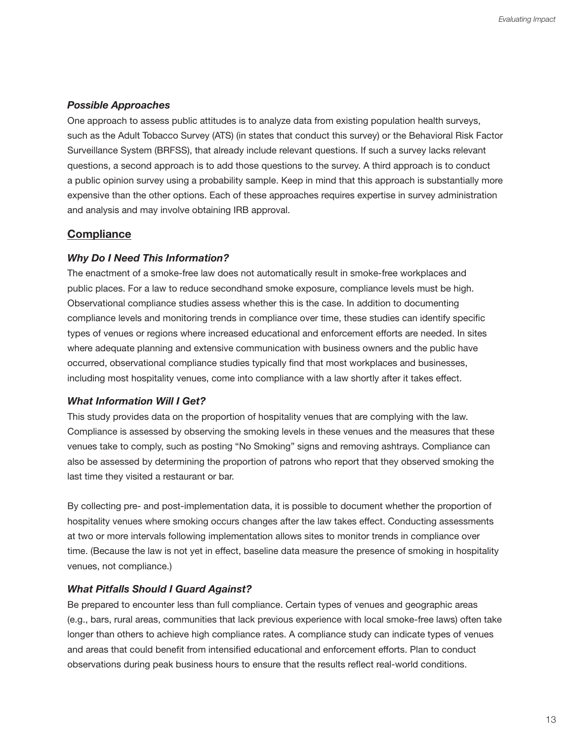#### *Possible Approaches*

One approach to assess public attitudes is to analyze data from existing population health surveys, such as the Adult Tobacco Survey (ATS) (in states that conduct this survey) or the Behavioral Risk Factor Surveillance System (BRFSS), that already include relevant questions. If such a survey lacks relevant questions, a second approach is to add those questions to the survey. A third approach is to conduct a public opinion survey using a probability sample. Keep in mind that this approach is substantially more expensive than the other options. Each of these approaches requires expertise in survey administration and analysis and may involve obtaining IRB approval.

#### **Compliance**

#### *Why Do I Need This Information?*

The enactment of a smoke-free law does not automatically result in smoke-free workplaces and public places. For a law to reduce secondhand smoke exposure, compliance levels must be high. Observational compliance studies assess whether this is the case. In addition to documenting compliance levels and monitoring trends in compliance over time, these studies can identify specific types of venues or regions where increased educational and enforcement efforts are needed. In sites where adequate planning and extensive communication with business owners and the public have occurred, observational compliance studies typically find that most workplaces and businesses, including most hospitality venues, come into compliance with a law shortly after it takes effect.

#### *What Information Will I Get?*

This study provides data on the proportion of hospitality venues that are complying with the law. Compliance is assessed by observing the smoking levels in these venues and the measures that these venues take to comply, such as posting "No Smoking" signs and removing ashtrays. Compliance can also be assessed by determining the proportion of patrons who report that they observed smoking the last time they visited a restaurant or bar.

By collecting pre- and post-implementation data, it is possible to document whether the proportion of hospitality venues where smoking occurs changes after the law takes effect. Conducting assessments at two or more intervals following implementation allows sites to monitor trends in compliance over time. (Because the law is not yet in effect, baseline data measure the presence of smoking in hospitality venues, not compliance.)

#### *What Pitfalls Should I Guard Against?*

Be prepared to encounter less than full compliance. Certain types of venues and geographic areas (e.g., bars, rural areas, communities that lack previous experience with local smoke-free laws) often take longer than others to achieve high compliance rates. A compliance study can indicate types of venues and areas that could benefit from intensified educational and enforcement efforts. Plan to conduct observations during peak business hours to ensure that the results reflect real-world conditions.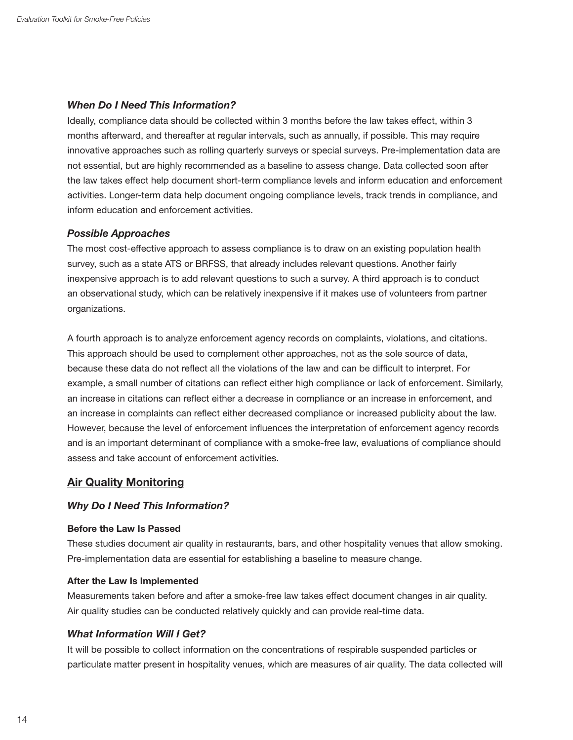#### *When Do I Need This Information?*

Ideally, compliance data should be collected within 3 months before the law takes effect, within 3 months afterward, and thereafter at regular intervals, such as annually, if possible. This may require innovative approaches such as rolling quarterly surveys or special surveys. Pre-implementation data are not essential, but are highly recommended as a baseline to assess change. Data collected soon after the law takes effect help document short-term compliance levels and inform education and enforcement activities. Longer-term data help document ongoing compliance levels, track trends in compliance, and inform education and enforcement activities.

#### *Possible Approaches*

The most cost-effective approach to assess compliance is to draw on an existing population health survey, such as a state ATS or BRFSS, that already includes relevant questions. Another fairly inexpensive approach is to add relevant questions to such a survey. A third approach is to conduct an observational study, which can be relatively inexpensive if it makes use of volunteers from partner organizations.

A fourth approach is to analyze enforcement agency records on complaints, violations, and citations. This approach should be used to complement other approaches, not as the sole source of data, because these data do not reflect all the violations of the law and can be difficult to interpret. For example, a small number of citations can reflect either high compliance or lack of enforcement. Similarly, an increase in citations can reflect either a decrease in compliance or an increase in enforcement, and an increase in complaints can reflect either decreased compliance or increased publicity about the law. However, because the level of enforcement influences the interpretation of enforcement agency records and is an important determinant of compliance with a smoke-free law, evaluations of compliance should assess and take account of enforcement activities.

# **Air Quality Monitoring**

#### *Why Do I Need This Information?*

#### **Before the Law Is Passed**

These studies document air quality in restaurants, bars, and other hospitality venues that allow smoking. Pre-implementation data are essential for establishing a baseline to measure change.

#### **After the Law Is Implemented**

Measurements taken before and after a smoke-free law takes effect document changes in air quality. Air quality studies can be conducted relatively quickly and can provide real-time data.

#### *What Information Will I Get?*

It will be possible to collect information on the concentrations of respirable suspended particles or particulate matter present in hospitality venues, which are measures of air quality. The data collected will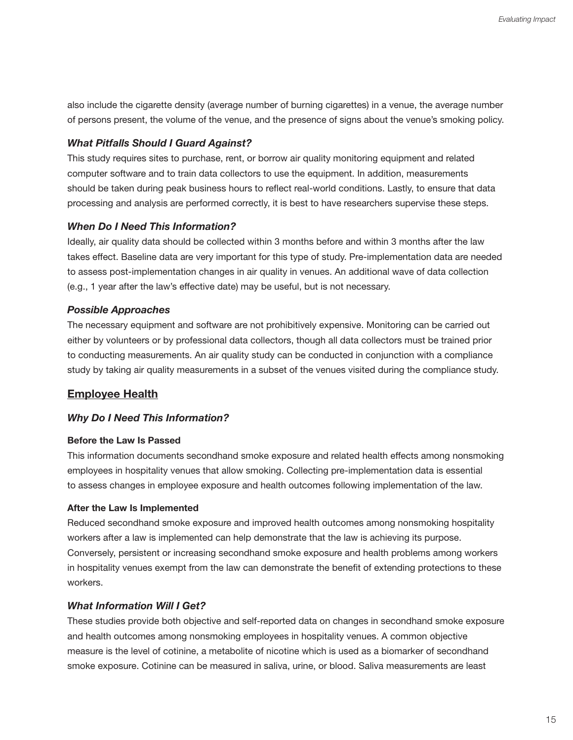also include the cigarette density (average number of burning cigarettes) in a venue, the average number of persons present, the volume of the venue, and the presence of signs about the venue's smoking policy.

#### *What Pitfalls Should I Guard Against?*

This study requires sites to purchase, rent, or borrow air quality monitoring equipment and related computer software and to train data collectors to use the equipment. In addition, measurements should be taken during peak business hours to reflect real-world conditions. Lastly, to ensure that data processing and analysis are performed correctly, it is best to have researchers supervise these steps.

#### *When Do I Need This Information?*

Ideally, air quality data should be collected within 3 months before and within 3 months after the law takes effect. Baseline data are very important for this type of study. Pre-implementation data are needed to assess post-implementation changes in air quality in venues. An additional wave of data collection (e.g., 1 year after the law's effective date) may be useful, but is not necessary.

#### *Possible Approaches*

The necessary equipment and software are not prohibitively expensive. Monitoring can be carried out either by volunteers or by professional data collectors, though all data collectors must be trained prior to conducting measurements. An air quality study can be conducted in conjunction with a compliance study by taking air quality measurements in a subset of the venues visited during the compliance study.

#### **Employee Health**

#### *Why Do I Need This Information?*

#### **Before the Law Is Passed**

This information documents secondhand smoke exposure and related health effects among nonsmoking employees in hospitality venues that allow smoking. Collecting pre-implementation data is essential to assess changes in employee exposure and health outcomes following implementation of the law.

#### **After the Law Is Implemented**

Reduced secondhand smoke exposure and improved health outcomes among nonsmoking hospitality workers after a law is implemented can help demonstrate that the law is achieving its purpose. Conversely, persistent or increasing secondhand smoke exposure and health problems among workers in hospitality venues exempt from the law can demonstrate the benefit of extending protections to these workers.

#### *What Information Will I Get?*

These studies provide both objective and self-reported data on changes in secondhand smoke exposure and health outcomes among nonsmoking employees in hospitality venues. A common objective measure is the level of cotinine, a metabolite of nicotine which is used as a biomarker of secondhand smoke exposure. Cotinine can be measured in saliva, urine, or blood. Saliva measurements are least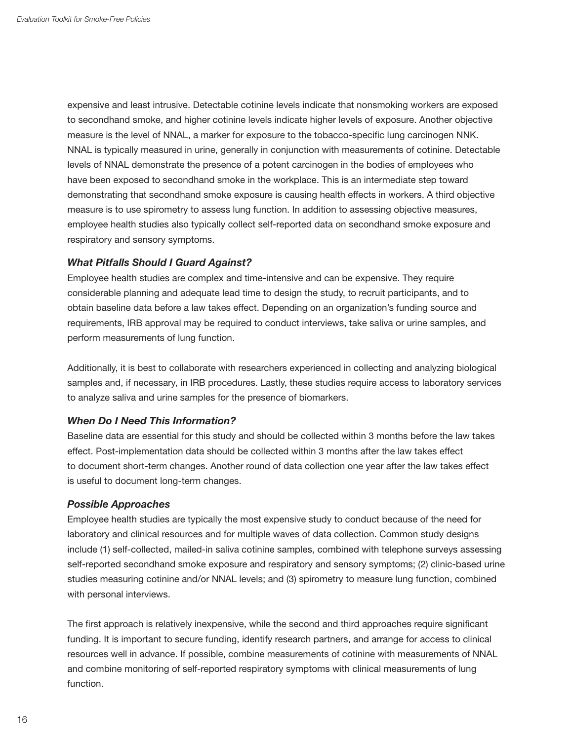expensive and least intrusive. Detectable cotinine levels indicate that nonsmoking workers are exposed to secondhand smoke, and higher cotinine levels indicate higher levels of exposure. Another objective measure is the level of NNAL, a marker for exposure to the tobacco-specific lung carcinogen NNK. NNAL is typically measured in urine, generally in conjunction with measurements of cotinine. Detectable levels of NNAL demonstrate the presence of a potent carcinogen in the bodies of employees who have been exposed to secondhand smoke in the workplace. This is an intermediate step toward demonstrating that secondhand smoke exposure is causing health effects in workers. A third objective measure is to use spirometry to assess lung function. In addition to assessing objective measures, employee health studies also typically collect self-reported data on secondhand smoke exposure and respiratory and sensory symptoms.

#### *What Pitfalls Should I Guard Against?*

Employee health studies are complex and time-intensive and can be expensive. They require considerable planning and adequate lead time to design the study, to recruit participants, and to obtain baseline data before a law takes effect. Depending on an organization's funding source and requirements, IRB approval may be required to conduct interviews, take saliva or urine samples, and perform measurements of lung function.

Additionally, it is best to collaborate with researchers experienced in collecting and analyzing biological samples and, if necessary, in IRB procedures. Lastly, these studies require access to laboratory services to analyze saliva and urine samples for the presence of biomarkers.

#### *When Do I Need This Information?*

Baseline data are essential for this study and should be collected within 3 months before the law takes effect. Post-implementation data should be collected within 3 months after the law takes effect to document short-term changes. Another round of data collection one year after the law takes effect is useful to document long-term changes.

#### *Possible Approaches*

Employee health studies are typically the most expensive study to conduct because of the need for laboratory and clinical resources and for multiple waves of data collection. Common study designs include (1) self-collected, mailed-in saliva cotinine samples, combined with telephone surveys assessing self-reported secondhand smoke exposure and respiratory and sensory symptoms; (2) clinic-based urine studies measuring cotinine and/or NNAL levels; and (3) spirometry to measure lung function, combined with personal interviews.

The first approach is relatively inexpensive, while the second and third approaches require significant funding. It is important to secure funding, identify research partners, and arrange for access to clinical resources well in advance. If possible, combine measurements of cotinine with measurements of NNAL and combine monitoring of self-reported respiratory symptoms with clinical measurements of lung function.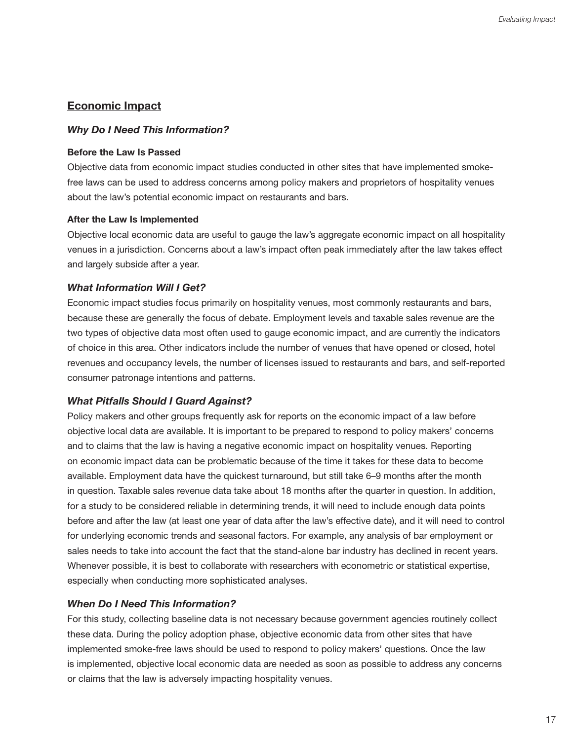# **Economic Impact**

#### *Why Do I Need This Information?*

#### **Before the Law Is Passed**

Objective data from economic impact studies conducted in other sites that have implemented smokefree laws can be used to address concerns among policy makers and proprietors of hospitality venues about the law's potential economic impact on restaurants and bars.

#### **After the Law Is Implemented**

Objective local economic data are useful to gauge the law's aggregate economic impact on all hospitality venues in a jurisdiction. Concerns about a law's impact often peak immediately after the law takes effect and largely subside after a year.

#### *What Information Will I Get?*

Economic impact studies focus primarily on hospitality venues, most commonly restaurants and bars, because these are generally the focus of debate. Employment levels and taxable sales revenue are the two types of objective data most often used to gauge economic impact, and are currently the indicators of choice in this area. Other indicators include the number of venues that have opened or closed, hotel revenues and occupancy levels, the number of licenses issued to restaurants and bars, and self-reported consumer patronage intentions and patterns.

#### *What Pitfalls Should I Guard Against?*

Policy makers and other groups frequently ask for reports on the economic impact of a law before objective local data are available. It is important to be prepared to respond to policy makers' concerns and to claims that the law is having a negative economic impact on hospitality venues. Reporting on economic impact data can be problematic because of the time it takes for these data to become available. Employment data have the quickest turnaround, but still take 6–9 months after the month in question. Taxable sales revenue data take about 18 months after the quarter in question. In addition, for a study to be considered reliable in determining trends, it will need to include enough data points before and after the law (at least one year of data after the law's effective date), and it will need to control for underlying economic trends and seasonal factors. For example, any analysis of bar employment or sales needs to take into account the fact that the stand-alone bar industry has declined in recent years. Whenever possible, it is best to collaborate with researchers with econometric or statistical expertise, especially when conducting more sophisticated analyses.

#### *When Do I Need This Information?*

For this study, collecting baseline data is not necessary because government agencies routinely collect these data. During the policy adoption phase, objective economic data from other sites that have implemented smoke-free laws should be used to respond to policy makers' questions. Once the law is implemented, objective local economic data are needed as soon as possible to address any concerns or claims that the law is adversely impacting hospitality venues.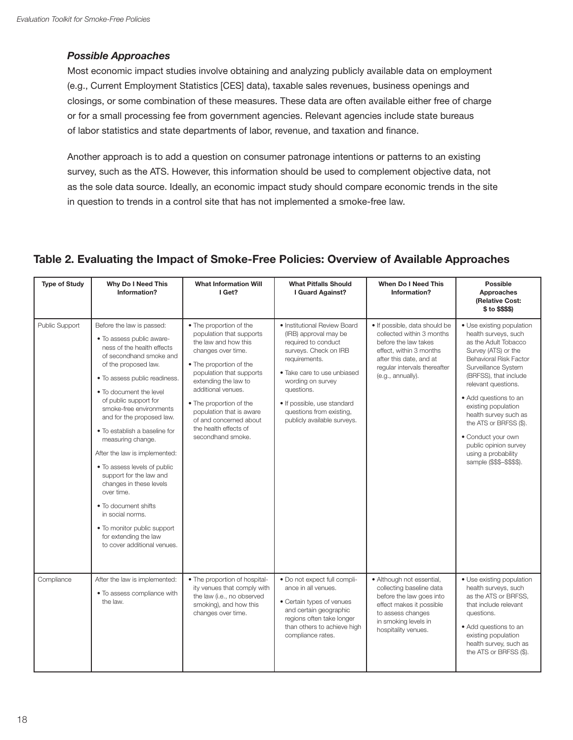#### *Possible Approaches*

Most economic impact studies involve obtaining and analyzing publicly available data on employment (e.g., Current Employment Statistics [CES] data), taxable sales revenues, business openings and closings, or some combination of these measures. These data are often available either free of charge or for a small processing fee from government agencies. Relevant agencies include state bureaus of labor statistics and state departments of labor, revenue, and taxation and finance.

Another approach is to add a question on consumer patronage intentions or patterns to an existing survey, such as the ATS. However, this information should be used to complement objective data, not as the sole data source. Ideally, an economic impact study should compare economic trends in the site in question to trends in a control site that has not implemented a smoke-free law.

# **Table 2. Evaluating the Impact of Smoke-Free Policies: Overview of Available Approaches**

| <b>Type of Study</b> | Why Do I Need This<br>Information?                                                                                                                                                                                                                                                                                                                                                                                                                                                                                                                                                                                 | <b>What Information Will</b><br>I Get?                                                                                                                                                                                                                                                                                                | <b>What Pitfalls Should</b><br>I Guard Against?                                                                                                                                                                                                                                    | <b>When Do I Need This</b><br>Information?                                                                                                                                                    | <b>Possible</b><br>Approaches<br>(Relative Cost:<br>\$ to \$\$\$\$)                                                                                                                                                                                                                                                                                                                                            |
|----------------------|--------------------------------------------------------------------------------------------------------------------------------------------------------------------------------------------------------------------------------------------------------------------------------------------------------------------------------------------------------------------------------------------------------------------------------------------------------------------------------------------------------------------------------------------------------------------------------------------------------------------|---------------------------------------------------------------------------------------------------------------------------------------------------------------------------------------------------------------------------------------------------------------------------------------------------------------------------------------|------------------------------------------------------------------------------------------------------------------------------------------------------------------------------------------------------------------------------------------------------------------------------------|-----------------------------------------------------------------------------------------------------------------------------------------------------------------------------------------------|----------------------------------------------------------------------------------------------------------------------------------------------------------------------------------------------------------------------------------------------------------------------------------------------------------------------------------------------------------------------------------------------------------------|
| Public Support       | Before the law is passed:<br>• To assess public aware-<br>ness of the health effects<br>of secondhand smoke and<br>of the proposed law.<br>. To assess public readiness.<br>. To document the level<br>of public support for<br>smoke-free environments<br>and for the proposed law.<br>• To establish a baseline for<br>measuring change.<br>After the law is implemented:<br>• To assess levels of public<br>support for the law and<br>changes in these levels<br>over time.<br>• To document shifts<br>in social norms.<br>• To monitor public support<br>for extending the law<br>to cover additional venues. | • The proportion of the<br>population that supports<br>the law and how this<br>changes over time.<br>• The proportion of the<br>population that supports<br>extending the law to<br>additional venues.<br>• The proportion of the<br>population that is aware<br>of and concerned about<br>the health effects of<br>secondhand smoke. | · Institutional Review Board<br>(IRB) approval may be<br>required to conduct<br>surveys. Check on IRB<br>requirements.<br>• Take care to use unbiased<br>wording on survey<br>questions.<br>• If possible, use standard<br>questions from existing,<br>publicly available surveys. | · If possible, data should be<br>collected within 3 months<br>before the law takes<br>effect, within 3 months<br>after this date, and at<br>regular intervals thereafter<br>(e.g., annually). | • Use existing population<br>health surveys, such<br>as the Adult Tobacco<br>Survey (ATS) or the<br><b>Behavioral Risk Factor</b><br>Surveillance System<br>(BRFSS), that include<br>relevant questions.<br>· Add questions to an<br>existing population<br>health survey such as<br>the ATS or BRFSS (\$).<br>• Conduct your own<br>public opinion survey<br>using a probability<br>sample (\$\$\$-\$\$\$\$). |
| Compliance           | After the law is implemented:<br>• To assess compliance with<br>the law.                                                                                                                                                                                                                                                                                                                                                                                                                                                                                                                                           | • The proportion of hospital-<br>ity venues that comply with<br>the law (i.e., no observed<br>smoking), and how this<br>changes over time.                                                                                                                                                                                            | . Do not expect full compli-<br>ance in all venues.<br>• Certain types of venues<br>and certain geographic<br>regions often take longer<br>than others to achieve high<br>compliance rates.                                                                                        | · Although not essential,<br>collecting baseline data<br>before the law goes into<br>effect makes it possible<br>to assess changes<br>in smoking levels in<br>hospitality venues.             | • Use existing population<br>health surveys, such<br>as the ATS or BRFSS,<br>that include relevant<br>questions.<br>· Add questions to an<br>existing population<br>health survey, such as<br>the ATS or BRFSS (\$).                                                                                                                                                                                           |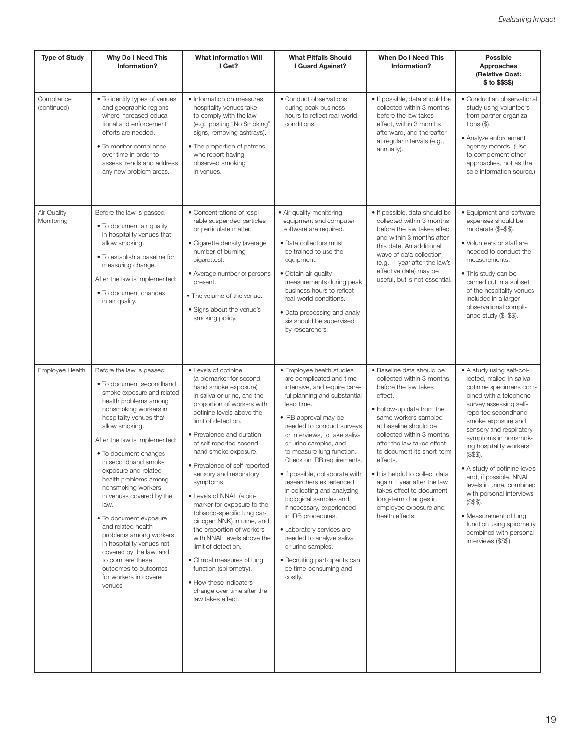| <b>Type of Study</b>      | Why Do I Need This<br>Information?                                                                                                                                                                                                                                                                                                                                                                                                                                                                                                                                                                | <b>What Information Will</b><br>I Get?                                                                                                                                                                                                                                                                                                                                                                                                                                                                                                                                                                                                                                                            | <b>What Pitfalls Should</b><br>I Guard Against?                                                                                                                                                                                                                                                                                                                                                                                                                                                                                                                                                                                               | <b>When Do I Need This</b><br>Information?                                                                                                                                                                                                                                                                                                                                                                                                    | <b>Possible</b><br>Approaches<br>(Relative Cost:<br>\$ to \$\$\$\$)                                                                                                                                                                                                                                                                                                                                                                                                                                                      |
|---------------------------|---------------------------------------------------------------------------------------------------------------------------------------------------------------------------------------------------------------------------------------------------------------------------------------------------------------------------------------------------------------------------------------------------------------------------------------------------------------------------------------------------------------------------------------------------------------------------------------------------|---------------------------------------------------------------------------------------------------------------------------------------------------------------------------------------------------------------------------------------------------------------------------------------------------------------------------------------------------------------------------------------------------------------------------------------------------------------------------------------------------------------------------------------------------------------------------------------------------------------------------------------------------------------------------------------------------|-----------------------------------------------------------------------------------------------------------------------------------------------------------------------------------------------------------------------------------------------------------------------------------------------------------------------------------------------------------------------------------------------------------------------------------------------------------------------------------------------------------------------------------------------------------------------------------------------------------------------------------------------|-----------------------------------------------------------------------------------------------------------------------------------------------------------------------------------------------------------------------------------------------------------------------------------------------------------------------------------------------------------------------------------------------------------------------------------------------|--------------------------------------------------------------------------------------------------------------------------------------------------------------------------------------------------------------------------------------------------------------------------------------------------------------------------------------------------------------------------------------------------------------------------------------------------------------------------------------------------------------------------|
| Compliance<br>(continued) | • To identify types of venues<br>and geographic regions<br>where increased educa-<br>tional and enforcement<br>efforts are needed.<br>. To monitor compliance<br>over time in order to<br>assess trends and address<br>any new problem areas.                                                                                                                                                                                                                                                                                                                                                     | • Information on measures<br>hospitality venues take<br>to comply with the law<br>(e.g., posting "No Smoking"<br>signs, removing ashtrays).<br>• The proportion of patrons<br>who report having<br>observed smoking<br>in venues.                                                                                                                                                                                                                                                                                                                                                                                                                                                                 | • Conduct observations<br>during peak business<br>hours to reflect real-world<br>conditions.                                                                                                                                                                                                                                                                                                                                                                                                                                                                                                                                                  | • If possible, data should be<br>collected within 3 months<br>before the law takes<br>effect, within 3 months<br>afterward, and thereafter<br>at regular intervals (e.g.,<br>annually).                                                                                                                                                                                                                                                       | • Conduct an observational<br>study using volunteers<br>from partner organiza-<br>tions $(\$)$ .<br>• Analyze enforcement<br>agency records. (Use<br>to complement other<br>approaches, not as the<br>sole information source.)                                                                                                                                                                                                                                                                                          |
| Air Quality<br>Monitoring | Before the law is passed:<br>• To document air quality<br>in hospitality venues that<br>allow smoking.<br>• To establish a baseline for<br>measuring change.<br>After the law is implemented:<br>• To document changes<br>in air quality.                                                                                                                                                                                                                                                                                                                                                         | • Concentrations of respi-<br>rable suspended particles<br>or particulate matter.<br>• Cigarette density (average<br>number of burning<br>cigarettes).<br>• Average number of persons<br>present.<br>• The volume of the venue.<br>• Signs about the venue's<br>smoking policy.                                                                                                                                                                                                                                                                                                                                                                                                                   | • Air quality monitoring<br>equipment and computer<br>software are required.<br>· Data collectors must<br>be trained to use the<br>equipment.<br>• Obtain air quality<br>measurements during peak<br>business hours to reflect<br>real-world conditions.<br>• Data processing and analy-<br>sis should be supervised<br>by researchers.                                                                                                                                                                                                                                                                                                       | • If possible, data should be<br>collected within 3 months<br>before the law takes effect<br>and within 3 months after<br>this date. An additional<br>wave of data collection<br>(e.g., 1 year after the law's<br>effective date) may be<br>useful, but is not essential.                                                                                                                                                                     | • Equipment and software<br>expenses should be<br>moderate (\$-\$\$).<br>• Volunteers or staff are<br>needed to conduct the<br>measurements.<br>• This study can be<br>carried out in a subset<br>of the hospitality venues<br>included in a larger<br>observational compli-<br>ance study (\$-\$\$).                                                                                                                                                                                                                    |
| <b>Employee Health</b>    | Before the law is passed:<br>• To document secondhand<br>smoke exposure and related<br>health problems among<br>nonsmoking workers in<br>hospitality venues that<br>allow smoking.<br>After the law is implemented:<br>• To document changes<br>in secondhand smoke<br>exposure and related<br>health problems among<br>nonsmoking workers<br>in venues covered by the<br>law.<br>• To document exposure<br>and related health<br>problems among workers<br>in hospitality venues not<br>covered by the law, and<br>to compare these<br>outcomes to outcomes<br>for workers in covered<br>venues. | • Levels of cotinine<br>(a biomarker for second-<br>hand smoke exposure)<br>in saliva or urine, and the<br>proportion of workers with<br>cotinine levels above the<br>limit of detection.<br>• Prevalence and duration<br>of self-reported second-<br>hand smoke exposure.<br>• Prevalence of self-reported<br>sensory and respiratory<br>symptoms.<br>• Levels of NNAL (a bio-<br>marker for exposure to the<br>tobacco-specific lung car-<br>cinogen NNK) in urine, and<br>the proportion of workers<br>with NNAL levels above the<br>limit of detection.<br>• Clinical measures of lung<br>function (spirometry).<br>• How these indicators<br>change over time after the<br>law takes effect. | • Employee health studies<br>are complicated and time-<br>intensive, and require care-<br>ful planning and substantial<br>lead time.<br>• IRB approval may be<br>needed to conduct surveys<br>or interviews, to take saliva<br>or urine samples, and<br>to measure lung function.<br>Check on IRB requirements.<br>. If possible, collaborate with<br>researchers experienced<br>in collecting and analyzing<br>biological samples and,<br>if necessary, experienced<br>in IRB procedures.<br>• Laboratory services are<br>needed to analyze saliva<br>or urine samples.<br>• Recruiting participants can<br>be time-consuming and<br>costly. | • Baseline data should be<br>collected within 3 months<br>before the law takes<br>effect.<br>• Follow-up data from the<br>same workers sampled<br>at baseline should be<br>collected within 3 months<br>after the law takes effect<br>to document its short-term<br>effects.<br>• It is helpful to collect data<br>again 1 year after the law<br>takes effect to document<br>long-term changes in<br>employee exposure and<br>health effects. | • A study using self-col-<br>lected, mailed-in saliva<br>cotinine specimens com-<br>bined with a telephone<br>survey assessing self-<br>reported secondhand<br>smoke exposure and<br>sensory and respiratory<br>symptoms in nonsmok-<br>ing hospitality workers<br>$($ \$\$\$).<br>• A study of cotinine levels<br>and, if possible, NNAL<br>levels in urine, combined<br>with personal interviews<br>$(SSS)$ .<br>• Measurement of lung<br>function using spirometry,<br>combined with personal<br>interviews (\$\$\$). |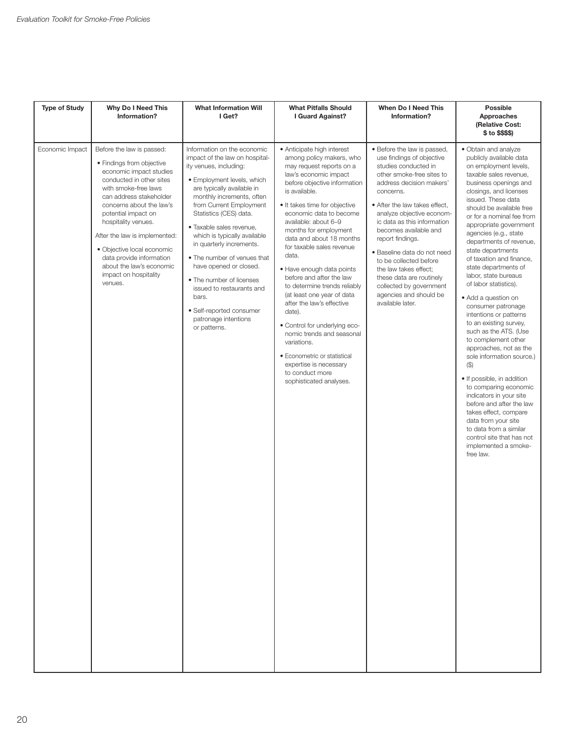| <b>Type of Study</b> | Why Do I Need This<br>Information?                                                                                                                                                                                                                                                                                                                                                                    | <b>What Information Will</b><br>I Get?                                                                                                                                                                                                                                                                                                                                                                                                                                                                                       | <b>What Pitfalls Should</b><br>I Guard Against?                                                                                                                                                                                                                                                                                                                                                                                                                                                                                                                                                                                                                                                | <b>When Do I Need This</b><br>Information?                                                                                                                                                                                                                                                                                                                                                                                                                                              | <b>Possible</b><br>Approaches<br>(Relative Cost:<br>\$ to \$\$\$\$)                                                                                                                                                                                                                                                                                                                                                                                                                                                                                                                                                                                                                                                                                                                                                                                                                                                       |
|----------------------|-------------------------------------------------------------------------------------------------------------------------------------------------------------------------------------------------------------------------------------------------------------------------------------------------------------------------------------------------------------------------------------------------------|------------------------------------------------------------------------------------------------------------------------------------------------------------------------------------------------------------------------------------------------------------------------------------------------------------------------------------------------------------------------------------------------------------------------------------------------------------------------------------------------------------------------------|------------------------------------------------------------------------------------------------------------------------------------------------------------------------------------------------------------------------------------------------------------------------------------------------------------------------------------------------------------------------------------------------------------------------------------------------------------------------------------------------------------------------------------------------------------------------------------------------------------------------------------------------------------------------------------------------|-----------------------------------------------------------------------------------------------------------------------------------------------------------------------------------------------------------------------------------------------------------------------------------------------------------------------------------------------------------------------------------------------------------------------------------------------------------------------------------------|---------------------------------------------------------------------------------------------------------------------------------------------------------------------------------------------------------------------------------------------------------------------------------------------------------------------------------------------------------------------------------------------------------------------------------------------------------------------------------------------------------------------------------------------------------------------------------------------------------------------------------------------------------------------------------------------------------------------------------------------------------------------------------------------------------------------------------------------------------------------------------------------------------------------------|
| Economic Impact      | Before the law is passed:<br>• Findings from objective<br>economic impact studies<br>conducted in other sites<br>with smoke-free laws<br>can address stakeholder<br>concerns about the law's<br>potential impact on<br>hospitality venues.<br>After the law is implemented:<br>· Objective local economic<br>data provide information<br>about the law's economic<br>impact on hospitality<br>venues. | Information on the economic<br>impact of the law on hospital-<br>ity venues, including:<br>• Employment levels, which<br>are typically available in<br>monthly increments, often<br>from Current Employment<br>Statistics (CES) data.<br>· Taxable sales revenue,<br>which is typically available<br>in quarterly increments.<br>• The number of venues that<br>have opened or closed.<br>• The number of licenses<br>issued to restaurants and<br>bars.<br>· Self-reported consumer<br>patronage intentions<br>or patterns. | • Anticipate high interest<br>among policy makers, who<br>may request reports on a<br>law's economic impact<br>before objective information<br>is available.<br>• It takes time for objective<br>economic data to become<br>available: about 6-9<br>months for employment<br>data and about 18 months<br>for taxable sales revenue<br>data.<br>· Have enough data points<br>before and after the law<br>to determine trends reliably<br>(at least one year of data<br>after the law's effective<br>date).<br>· Control for underlying eco-<br>nomic trends and seasonal<br>variations.<br>• Econometric or statistical<br>expertise is necessary<br>to conduct more<br>sophisticated analyses. | • Before the law is passed,<br>use findings of objective<br>studies conducted in<br>other smoke-free sites to<br>address decision makers'<br>concerns.<br>• After the law takes effect,<br>analyze objective econom-<br>ic data as this information<br>becomes available and<br>report findings.<br>· Baseline data do not need<br>to be collected before<br>the law takes effect;<br>these data are routinely<br>collected by government<br>agencies and should be<br>available later. | · Obtain and analyze<br>publicly available data<br>on employment levels,<br>taxable sales revenue,<br>business openings and<br>closings, and licenses<br>issued. These data<br>should be available free<br>or for a nominal fee from<br>appropriate government<br>agencies (e.g., state<br>departments of revenue,<br>state departments<br>of taxation and finance,<br>state departments of<br>labor, state bureaus<br>of labor statistics).<br>• Add a question on<br>consumer patronage<br>intentions or patterns<br>to an existing survey,<br>such as the ATS. (Use<br>to complement other<br>approaches, not as the<br>sole information source.)<br>$($ \$)<br>• If possible, in addition<br>to comparing economic<br>indicators in your site<br>before and after the law<br>takes effect, compare<br>data from your site<br>to data from a similar<br>control site that has not<br>implemented a smoke-<br>free law. |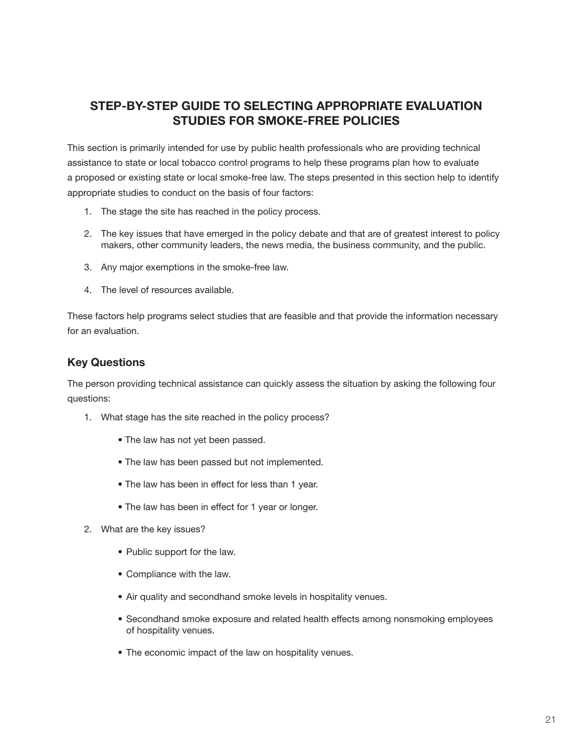# **STEP-BY-STEP GUIDE TO SELECTING APPROPRIATE EVALUATION STUDIES FOR SMOkE-FREE POLICIES**

This section is primarily intended for use by public health professionals who are providing technical assistance to state or local tobacco control programs to help these programs plan how to evaluate a proposed or existing state or local smoke-free law. The steps presented in this section help to identify appropriate studies to conduct on the basis of four factors:

- 1. The stage the site has reached in the policy process.
- 2. The key issues that have emerged in the policy debate and that are of greatest interest to policy makers, other community leaders, the news media, the business community, and the public.
- 3. Any major exemptions in the smoke-free law.
- 4. The level of resources available.

These factors help programs select studies that are feasible and that provide the information necessary for an evaluation.

# **key Questions**

The person providing technical assistance can quickly assess the situation by asking the following four questions:

- 1. What stage has the site reached in the policy process?
	- The law has not yet been passed.
	- The law has been passed but not implemented.
	- The law has been in effect for less than 1 year.
	- The law has been in effect for 1 year or longer.
- 2. What are the key issues?
	- Public support for the law.
	- Compliance with the law.
	- Air quality and secondhand smoke levels in hospitality venues.
	- Secondhand smoke exposure and related health effects among nonsmoking employees of hospitality venues.
	- The economic impact of the law on hospitality venues.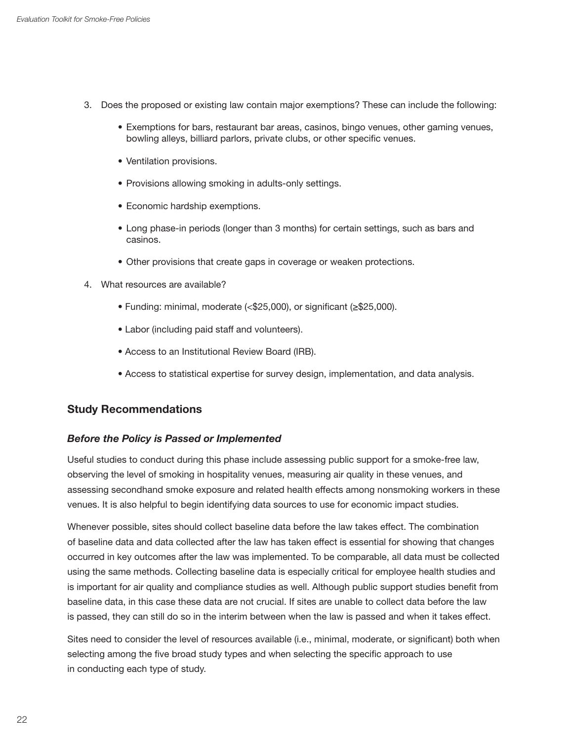- 3. Does the proposed or existing law contain major exemptions? These can include the following:
	- Exemptions for bars, restaurant bar areas, casinos, bingo venues, other gaming venues, bowling alleys, billiard parlors, private clubs, or other specific venues.
	- Ventilation provisions.
	- Provisions allowing smoking in adults-only settings.
	- Economic hardship exemptions.
	- Long phase-in periods (longer than 3 months) for certain settings, such as bars and casinos.
	- Other provisions that create gaps in coverage or weaken protections.
- 4. What resources are available?
	- Funding: minimal, moderate (<\$25,000), or significant (≥\$25,000).
	- Labor (including paid staff and volunteers).
	- Access to an Institutional Review Board (IRB).
	- Access to statistical expertise for survey design, implementation, and data analysis.

#### **Study Recommendations**

#### *Before the Policy is Passed or Implemented*

Useful studies to conduct during this phase include assessing public support for a smoke-free law, observing the level of smoking in hospitality venues, measuring air quality in these venues, and assessing secondhand smoke exposure and related health effects among nonsmoking workers in these venues. It is also helpful to begin identifying data sources to use for economic impact studies.

Whenever possible, sites should collect baseline data before the law takes effect. The combination of baseline data and data collected after the law has taken effect is essential for showing that changes occurred in key outcomes after the law was implemented. To be comparable, all data must be collected using the same methods. Collecting baseline data is especially critical for employee health studies and is important for air quality and compliance studies as well. Although public support studies benefit from baseline data, in this case these data are not crucial. If sites are unable to collect data before the law is passed, they can still do so in the interim between when the law is passed and when it takes effect.

Sites need to consider the level of resources available (i.e., minimal, moderate, or significant) both when selecting among the five broad study types and when selecting the specific approach to use in conducting each type of study.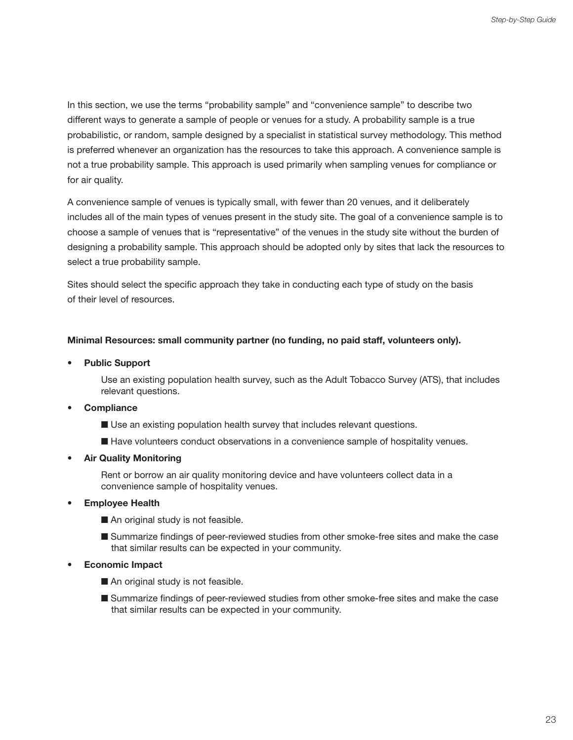In this section, we use the terms "probability sample" and "convenience sample" to describe two different ways to generate a sample of people or venues for a study. A probability sample is a true probabilistic, or random, sample designed by a specialist in statistical survey methodology. This method is preferred whenever an organization has the resources to take this approach. A convenience sample is not a true probability sample. This approach is used primarily when sampling venues for compliance or for air quality.

A convenience sample of venues is typically small, with fewer than 20 venues, and it deliberately includes all of the main types of venues present in the study site. The goal of a convenience sample is to choose a sample of venues that is "representative" of the venues in the study site without the burden of designing a probability sample. This approach should be adopted only by sites that lack the resources to select a true probability sample.

Sites should select the specific approach they take in conducting each type of study on the basis of their level of resources.

#### **Minimal Resources: small community partner (no funding, no paid staff, volunteers only).**

**• Public Support** 

Use an existing population health survey, such as the Adult Tobacco Survey (ATS), that includes relevant questions.

- **Compliance** 
	- Use an existing population health survey that includes relevant questions.
	- Have volunteers conduct observations in a convenience sample of hospitality venues.
- **Air Quality Monitoring**

Rent or borrow an air quality monitoring device and have volunteers collect data in a convenience sample of hospitality venues.

- **Employee Health** 
	- $\blacksquare$  An original study is not feasible.
	- Summarize findings of peer-reviewed studies from other smoke-free sites and make the case that similar results can be expected in your community.
- **Economic Impact** 
	- $\blacksquare$  An original study is not feasible.
	- Summarize findings of peer-reviewed studies from other smoke-free sites and make the case that similar results can be expected in your community.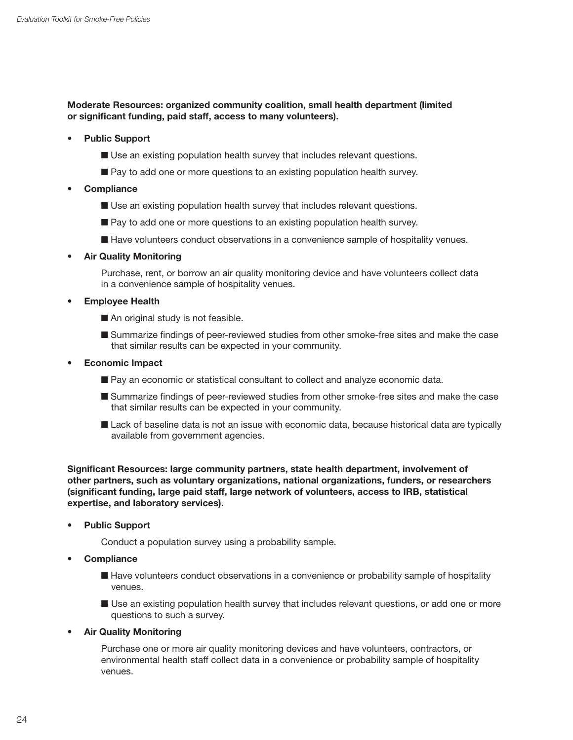#### **Moderate Resources: organized community coalition, small health department (limited or significant funding, paid staff, access to many volunteers).**

- **Public Support** 
	- Use an existing population health survey that includes relevant questions.
	- $\blacksquare$  Pay to add one or more questions to an existing population health survey.
- **Compliance** 
	- Use an existing population health survey that includes relevant questions.
	- Pay to add one or more questions to an existing population health survey.
	- Have volunteers conduct observations in a convenience sample of hospitality venues.
- **Air Quality Monitoring**

Purchase, rent, or borrow an air quality monitoring device and have volunteers collect data in a convenience sample of hospitality venues.

- **Employee Health** 
	- $\blacksquare$  An original study is not feasible.
	- Summarize findings of peer-reviewed studies from other smoke-free sites and make the case that similar results can be expected in your community.
- **Economic Impact** 
	- Pay an economic or statistical consultant to collect and analyze economic data.
	- $\blacksquare$  Summarize findings of peer-reviewed studies from other smoke-free sites and make the case that similar results can be expected in your community.
	- Lack of baseline data is not an issue with economic data, because historical data are typically available from government agencies.

**Significant Resources: large community partners, state health department, involvement of other partners, such as voluntary organizations, national organizations, funders, or researchers (significant funding, large paid staff, large network of volunteers, access to IRB, statistical expertise, and laboratory services).** 

**• Public Support** 

Conduct a population survey using a probability sample.

- **Compliance** 
	- Have volunteers conduct observations in a convenience or probability sample of hospitality venues.
	- $\blacksquare$  Use an existing population health survey that includes relevant questions, or add one or more questions to such a survey.
- **Air Quality Monitoring**

Purchase one or more air quality monitoring devices and have volunteers, contractors, or environmental health staff collect data in a convenience or probability sample of hospitality venues.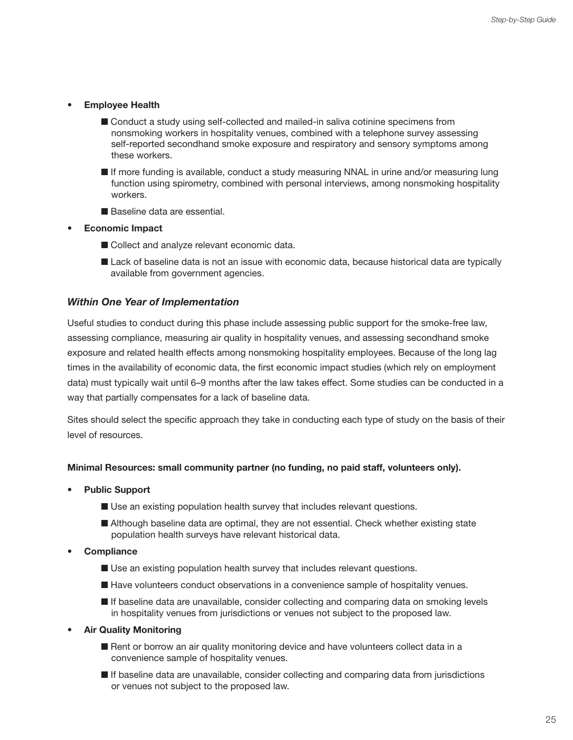- **Employee Health** 
	- Conduct a study using self-collected and mailed-in saliva cotinine specimens from nonsmoking workers in hospitality venues, combined with a telephone survey assessing self-reported secondhand smoke exposure and respiratory and sensory symptoms among these workers.
	- $\blacksquare$  If more funding is available, conduct a study measuring NNAL in urine and/or measuring lung function using spirometry, combined with personal interviews, among nonsmoking hospitality workers.
	- Baseline data are essential.
- **Economic Impact** 
	- Collect and analyze relevant economic data.
	- Lack of baseline data is not an issue with economic data, because historical data are typically available from government agencies.

#### *Within One Year of Implementation*

Useful studies to conduct during this phase include assessing public support for the smoke-free law, assessing compliance, measuring air quality in hospitality venues, and assessing secondhand smoke exposure and related health effects among nonsmoking hospitality employees. Because of the long lag times in the availability of economic data, the first economic impact studies (which rely on employment data) must typically wait until 6–9 months after the law takes effect. Some studies can be conducted in a way that partially compensates for a lack of baseline data.

Sites should select the specific approach they take in conducting each type of study on the basis of their level of resources.

#### **Minimal Resources: small community partner (no funding, no paid staff, volunteers only).**

- **Public Support** 
	- Use an existing population health survey that includes relevant questions.
	- $\blacksquare$  Although baseline data are optimal, they are not essential. Check whether existing state population health surveys have relevant historical data.
- **Compliance** 
	- Use an existing population health survey that includes relevant questions.
	- Have volunteers conduct observations in a convenience sample of hospitality venues.
	- $\blacksquare$  If baseline data are unavailable, consider collecting and comparing data on smoking levels in hospitality venues from jurisdictions or venues not subject to the proposed law.
- **Air Quality Monitoring** 
	- Rent or borrow an air quality monitoring device and have volunteers collect data in a convenience sample of hospitality venues.
	- $\blacksquare$  If baseline data are unavailable, consider collecting and comparing data from jurisdictions or venues not subject to the proposed law.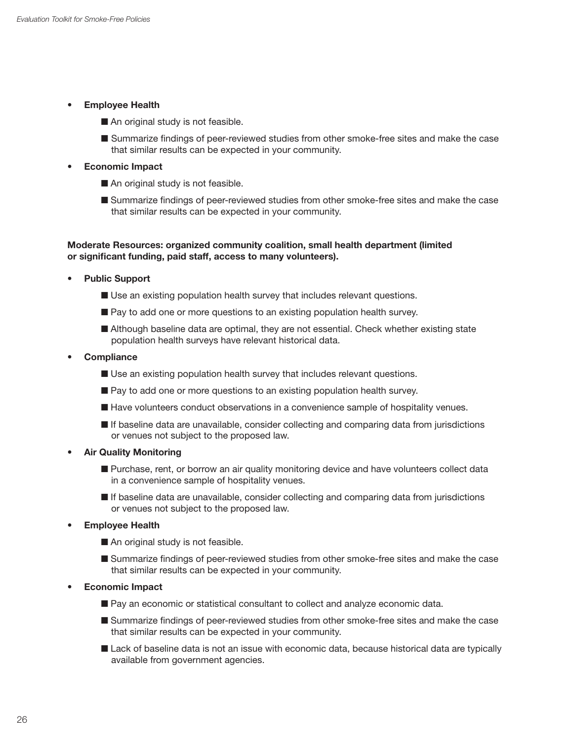- **Employee Health** 
	- $\blacksquare$  An original study is not feasible.
	- Summarize findings of peer-reviewed studies from other smoke-free sites and make the case that similar results can be expected in your community.

#### **• Economic Impact**

- $\blacksquare$  An original study is not feasible.
- Summarize findings of peer-reviewed studies from other smoke-free sites and make the case that similar results can be expected in your community.

#### **Moderate Resources: organized community coalition, small health department (limited or significant funding, paid staff, access to many volunteers).**

- **Public Support** 
	- Use an existing population health survey that includes relevant questions.
	- Pay to add one or more questions to an existing population health survey.
	- Although baseline data are optimal, they are not essential. Check whether existing state population health surveys have relevant historical data.
- **Compliance** 
	- Use an existing population health survey that includes relevant questions.
	- Pay to add one or more questions to an existing population health survey.
	- Have volunteers conduct observations in a convenience sample of hospitality venues.
	- $\blacksquare$  If baseline data are unavailable, consider collecting and comparing data from jurisdictions or venues not subject to the proposed law.
- **Air Quality Monitoring** 
	- **Purchase, rent, or borrow an air quality monitoring device and have volunteers collect data** in a convenience sample of hospitality venues.
	- $\blacksquare$  If baseline data are unavailable, consider collecting and comparing data from jurisdictions or venues not subject to the proposed law.
- **Employee Health** 
	- $\blacksquare$  An original study is not feasible.
	- Summarize findings of peer-reviewed studies from other smoke-free sites and make the case that similar results can be expected in your community.
- **Economic Impact** 
	- Pay an economic or statistical consultant to collect and analyze economic data.
	- Summarize findings of peer-reviewed studies from other smoke-free sites and make the case that similar results can be expected in your community.
	- Lack of baseline data is not an issue with economic data, because historical data are typically available from government agencies.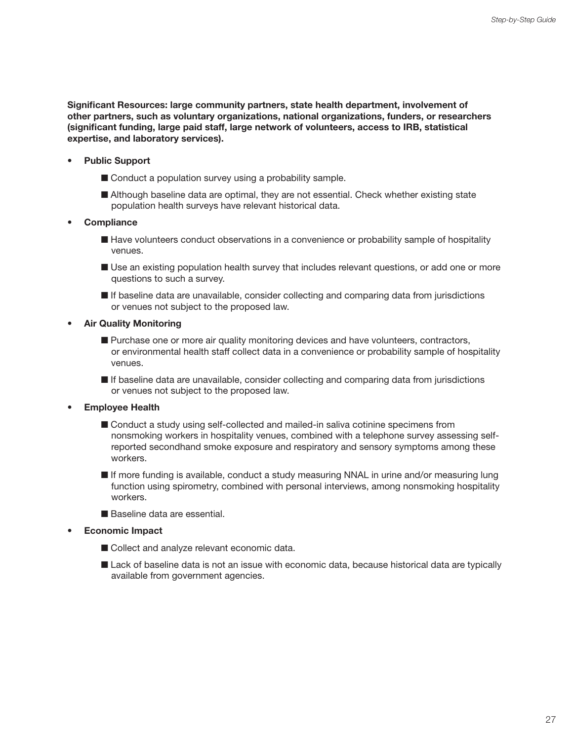**Significant Resources: large community partners, state health department, involvement of other partners, such as voluntary organizations, national organizations, funders, or researchers (significant funding, large paid staff, large network of volunteers, access to IRB, statistical expertise, and laboratory services).** 

- **Public Support** 
	- $\blacksquare$  Conduct a population survey using a probability sample.
	- Although baseline data are optimal, they are not essential. Check whether existing state population health surveys have relevant historical data.
- **Compliance** 
	- Have volunteers conduct observations in a convenience or probability sample of hospitality venues.
	- **n** Use an existing population health survey that includes relevant questions, or add one or more questions to such a survey.
	- $\blacksquare$  If baseline data are unavailable, consider collecting and comparing data from jurisdictions or venues not subject to the proposed law.
- **Air Quality Monitoring** 
	- **n** Purchase one or more air quality monitoring devices and have volunteers, contractors, or environmental health staff collect data in a convenience or probability sample of hospitality venues.
	- $\blacksquare$  If baseline data are unavailable, consider collecting and comparing data from jurisdictions or venues not subject to the proposed law.
- **Employee Health** 
	- Conduct a study using self-collected and mailed-in saliva cotinine specimens from nonsmoking workers in hospitality venues, combined with a telephone survey assessing selfreported secondhand smoke exposure and respiratory and sensory symptoms among these workers.
	- If more funding is available, conduct a study measuring NNAL in urine and/or measuring lung function using spirometry, combined with personal interviews, among nonsmoking hospitality workers.
	- Baseline data are essential
- **Economic Impact** 
	- Collect and analyze relevant economic data.
	- Lack of baseline data is not an issue with economic data, because historical data are typically available from government agencies.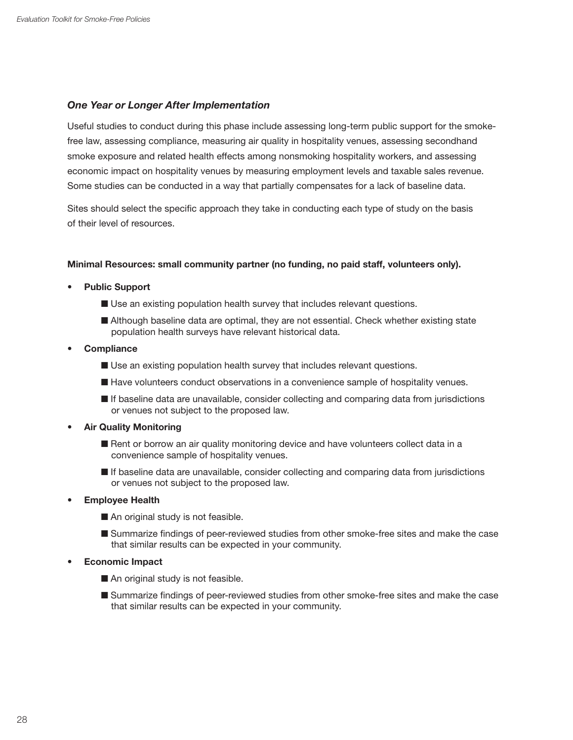#### *One Year or Longer After Implementation*

Useful studies to conduct during this phase include assessing long-term public support for the smokefree law, assessing compliance, measuring air quality in hospitality venues, assessing secondhand smoke exposure and related health effects among nonsmoking hospitality workers, and assessing economic impact on hospitality venues by measuring employment levels and taxable sales revenue. Some studies can be conducted in a way that partially compensates for a lack of baseline data.

Sites should select the specific approach they take in conducting each type of study on the basis of their level of resources.

#### **Minimal Resources: small community partner (no funding, no paid staff, volunteers only).**

- **Public Support** 
	- Use an existing population health survey that includes relevant questions.
	- Although baseline data are optimal, they are not essential. Check whether existing state population health surveys have relevant historical data.
- **Compliance** 
	- $\blacksquare$  Use an existing population health survey that includes relevant questions.
	- Have volunteers conduct observations in a convenience sample of hospitality venues.
	- $\blacksquare$  If baseline data are unavailable, consider collecting and comparing data from jurisdictions or venues not subject to the proposed law.
- **Air Quality Monitoring** 
	- Rent or borrow an air quality monitoring device and have volunteers collect data in a convenience sample of hospitality venues.
	- $\blacksquare$  If baseline data are unavailable, consider collecting and comparing data from jurisdictions or venues not subject to the proposed law.
- **Employee Health** 
	- $\blacksquare$  An original study is not feasible.
	- $\blacksquare$  Summarize findings of peer-reviewed studies from other smoke-free sites and make the case that similar results can be expected in your community.
- **Economic Impact** 
	- $\blacksquare$  An original study is not feasible.
	- Summarize findings of peer-reviewed studies from other smoke-free sites and make the case that similar results can be expected in your community.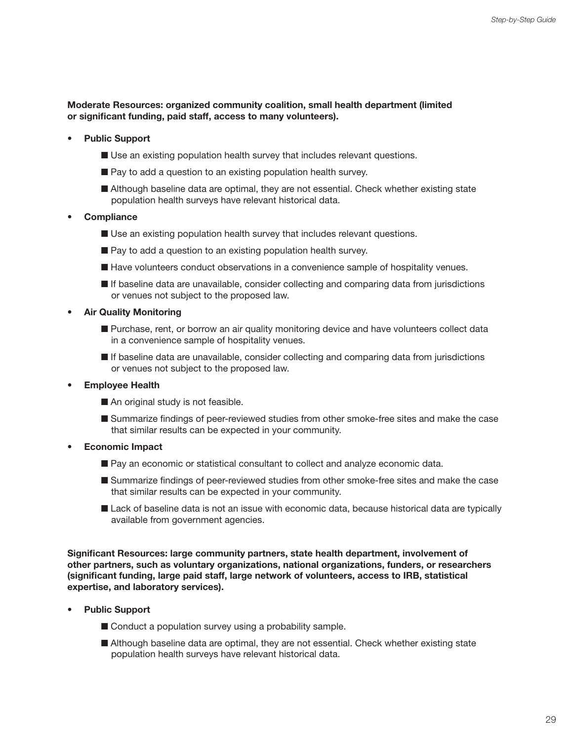#### **Moderate Resources: organized community coalition, small health department (limited or significant funding, paid staff, access to many volunteers).**

- **Public Support** 
	- Use an existing population health survey that includes relevant questions.
	- $\blacksquare$  Pay to add a question to an existing population health survey.
	- Although baseline data are optimal, they are not essential. Check whether existing state population health surveys have relevant historical data.
- **Compliance** 
	- Use an existing population health survey that includes relevant questions.
	- $\blacksquare$  Pay to add a question to an existing population health survey.
	- Have volunteers conduct observations in a convenience sample of hospitality venues.
	- $\blacksquare$  If baseline data are unavailable, consider collecting and comparing data from jurisdictions or venues not subject to the proposed law.
- **Air Quality Monitoring** 
	- **n** Purchase, rent, or borrow an air quality monitoring device and have volunteers collect data in a convenience sample of hospitality venues.
	- $\blacksquare$  If baseline data are unavailable, consider collecting and comparing data from jurisdictions or venues not subject to the proposed law.
- **Employee Health** 
	- $\blacksquare$  An original study is not feasible.
	- Summarize findings of peer-reviewed studies from other smoke-free sites and make the case that similar results can be expected in your community.
- **Economic Impact** 
	- Pay an economic or statistical consultant to collect and analyze economic data.
	- Summarize findings of peer-reviewed studies from other smoke-free sites and make the case that similar results can be expected in your community.
	- Lack of baseline data is not an issue with economic data, because historical data are typically available from government agencies.

**Significant Resources: large community partners, state health department, involvement of other partners, such as voluntary organizations, national organizations, funders, or researchers (significant funding, large paid staff, large network of volunteers, access to IRB, statistical expertise, and laboratory services).** 

- **Public Support** 
	- $\blacksquare$  Conduct a population survey using a probability sample.
	- Although baseline data are optimal, they are not essential. Check whether existing state population health surveys have relevant historical data.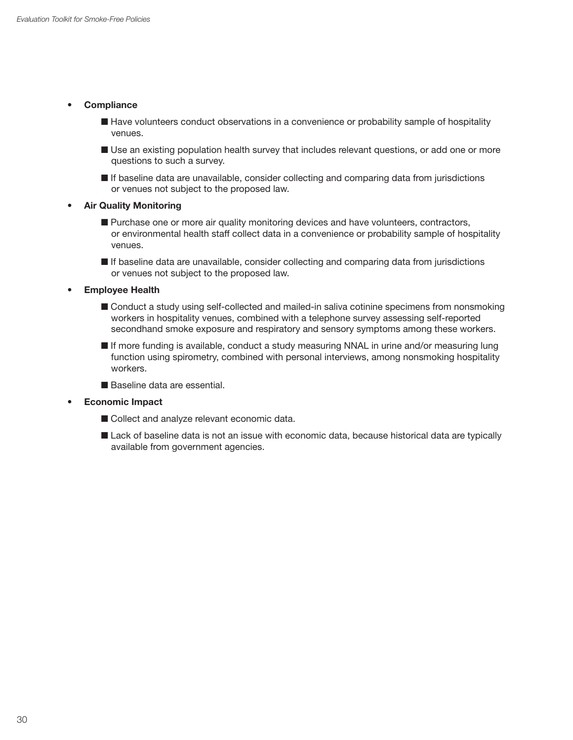- **Compliance** 
	- Have volunteers conduct observations in a convenience or probability sample of hospitality venues.
	- **If** Use an existing population health survey that includes relevant questions, or add one or more questions to such a survey.
	- $\blacksquare$  If baseline data are unavailable, consider collecting and comparing data from jurisdictions or venues not subject to the proposed law.
- **Air Quality Monitoring** 
	- Purchase one or more air quality monitoring devices and have volunteers, contractors, or environmental health staff collect data in a convenience or probability sample of hospitality venues.
	- $\blacksquare$  If baseline data are unavailable, consider collecting and comparing data from jurisdictions or venues not subject to the proposed law.

**• Employee Health** 

- Conduct a study using self-collected and mailed-in saliva cotinine specimens from nonsmoking workers in hospitality venues, combined with a telephone survey assessing self-reported secondhand smoke exposure and respiratory and sensory symptoms among these workers.
- If more funding is available, conduct a study measuring NNAL in urine and/or measuring lung function using spirometry, combined with personal interviews, among nonsmoking hospitality workers.
- Baseline data are essential.

#### **• Economic Impact**

- Collect and analyze relevant economic data.
- Lack of baseline data is not an issue with economic data, because historical data are typically available from government agencies.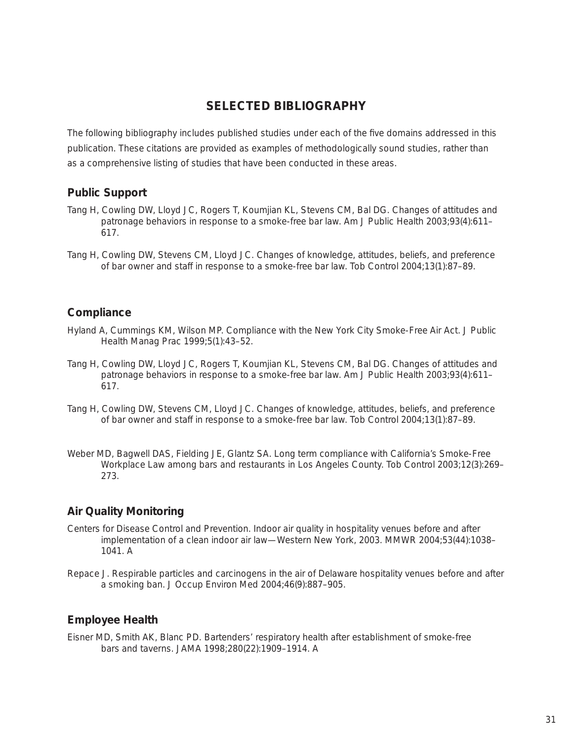# **SELECTED BIBLIOGRAPHY**

The following bibliography includes published studies under each of the five domains addressed in this publication. These citations are provided as examples of methodologically sound studies, rather than as a comprehensive listing of studies that have been conducted in these areas.

# **Public Support**

- Tang H, Cowling DW, Lloyd JC, Rogers T, Koumjian KL, Stevens CM, Bal DG. Changes of attitudes and patronage behaviors in response to a smoke-free bar law. Am J Public Health 2003;93(4):611– 617.
- Tang H, Cowling DW, Stevens CM, Lloyd JC. Changes of knowledge, attitudes, beliefs, and preference of bar owner and staff in response to a smoke-free bar law. Tob Control 2004;13(1):87–89.

# **Compliance**

- Hyland A, Cummings KM, Wilson MP. Compliance with the New York City Smoke-Free Air Act. J Public Health Manag Prac 1999;5(1):43–52.
- Tang H, Cowling DW, Lloyd JC, Rogers T, Koumjian KL, Stevens CM, Bal DG. Changes of attitudes and patronage beha[viors in response to a smoke-free bar law. Am J Pub](http://www.ajph.org/cgi/content/abstract/93/4/611)lic Health 2003;93(4):611– 617.
- Tang H, Cowling DW, Stevens CM, Lloyd JC. Changes of knowledge, attitudes, beliefs, and preference of bar owner and staff in response to a smoke-free bar law. Tob Control 2004;13(1):87–89.
- Weber MD, Bagwell DAS, Fielding JE, Glantz SA. Long term compliance with California's Smoke-Free Workplace Law among bars and restaurants in Los Angeles County. Tob Control 2003;12(3):269– 273.

# **Air Quality Monitoring**

- Centers for Disease Control and Prevention. Indoor air quality in hospitality venues before and after implementation o[f a clean indoor air law—Western New York, 2003. MMWR 2004;5](http://www.cdc.gov/mmwr/preview/mmwrhtml/mm5344a3.htm)3(44):1038– 1041. A
- Repace J. Respirable particles and carcinogens in the air of Delaware hospitality venues before and after a smoking ban. J Occup Environ Med 2004;46(9):887–905.

# **Employee Health**

Eisner MD, Smith AK, Blanc PD. Bartenders' respiratory health after establishment of smoke-free bars and taverns. JAMA 1998;280(22):1909–1914. A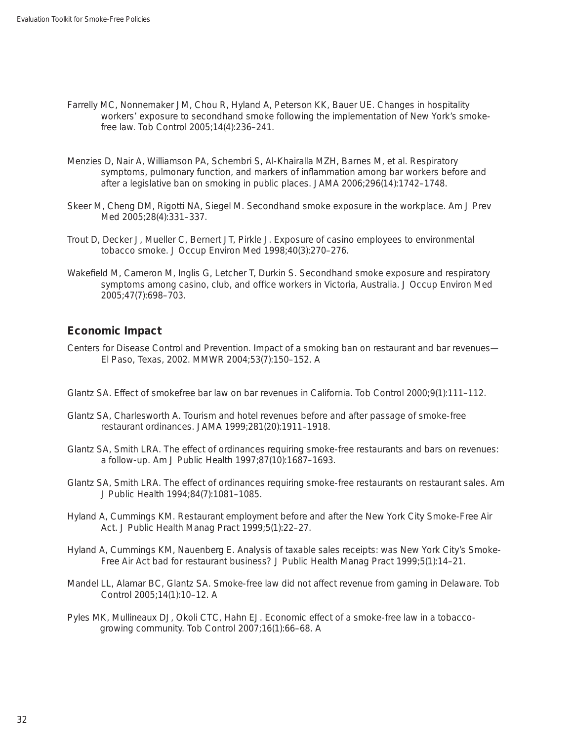- Farrelly MC, Nonnemaker JM, Chou R, Hyland A, Peterson KK, Bauer UE. Changes in hospitality workers' exposure to secondhand smoke following the implementation of New York's smokefree law. Tob Control 2005;14(4):236–241.
- Menzies D, Nair A, Williamson PA, Schembri S, Al-Khairalla MZH, Barnes M, et al. Respiratory symptoms, pulmonary function, and markers of inflammation among bar workers before and after a legislative ban on smoking in public places. JAMA 2006;296(14):1742–1748.
- Skeer M, Cheng DM, Rigotti NA, Siegel M. Secondhand smoke exposure in the workplace. Am J Prev Med 2005;28(4):331–337.
- Trout D, Decker J, Mueller C, Bernert JT, Pirkle J. Exposure of casino employees to environmental tobacco smoke. J Occup Environ Med 1998;40(3):270–276.
- Wakefield M, Cameron M, Inglis G, Letcher T, Durkin S. Secondhand smoke exposure and respiratory symptoms among casino, club, and office workers in Victoria, Australia. J Occup Environ Med 2005;47(7):698–703.

# **Economic Impact**

- Centers for Disease Control and Prevention. Impact of a smoking ban [on restaurant and bar revenue](http://www.cdc.gov/mmwr/preview/mmwrhtml/mm5307a2.htm)s— El Paso, Texas, 2002. MMWR 2004;53(7):150–152. A
- Glantz SA. Effect of smokefree bar law on bar revenues in California. Tob Control 2000;9(1):111–112.
- Glantz SA, Charlesworth A. Tourism and hotel revenues before and after passage of smoke-free restaurant ordinances. JAMA 1999;281(20):1911–1918.
- Glantz SA, Smith LRA. The effect of ordinances requiring smoke-free restaurants and bars on revenues: a follow-up. Am J Public Health 1997;87(10):1687–1693.
- Glantz SA, Smith LRA. The effect of ordinances requiring smoke-free restaurants on restaurant sales. Am J Public Health 1994;84(7):1081–1085.
- Hyland A, Cummings KM. Restaurant employment before and after the New York City Smoke-Free Air Act. J Public Health Manag Pract 1999;5(1):22–27.
- Hyland A, Cummings KM, Nauenberg E. Analysis of taxable sales receipts: was New York City's Smoke-Free Air Act bad for restaurant business? J Public Health Manag Pract 1999;5(1):14–21.
- Mandel LL, Alamar BC, Glantz SA. Smoke-free law did not affect revenue from gaming in Delaware. Tob Control 2005;14(1):10–12. A
- Pyles MK, Mullineaux DJ, Okoli CTC, Hahn EJ. Economic effect of a smoke-free law in a tobaccogrowing community. Tob Control 2007;16(1):66–68. A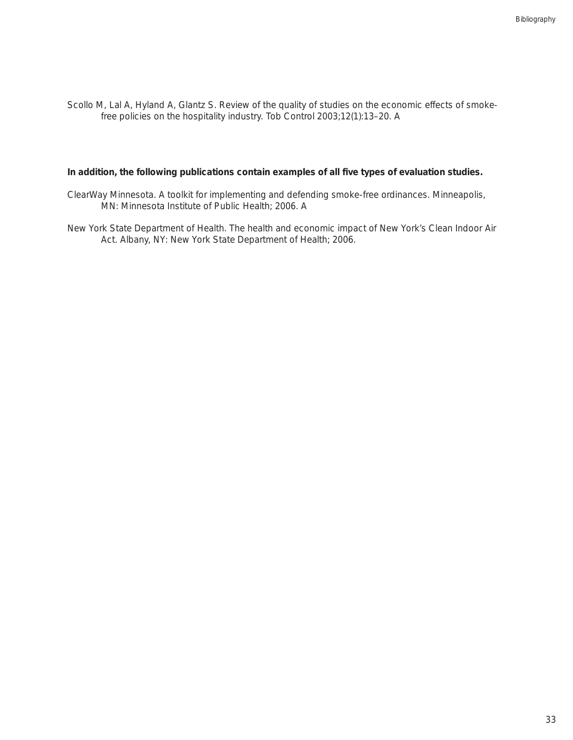Scollo M, Lal A, Hyland A, Glantz S. Review of the quality of studies on the economic effects of smokefree policies on the hospitality industry. Tob Control 2003;12(1):13–20. A

#### **In addition, the following publications contain examples of all five types of evaluation studies.**

- ClearWay Minnesota. A toolkit for implementing and defending smoke-free ordinances. Minneapolis, MN: Minnesota Institute of Public Health; 2006. A
- New York State Department of Health. The health and economic impact of New York's Clean Indoor Air Act. Albany, NY: New York State Department of Health; 2006.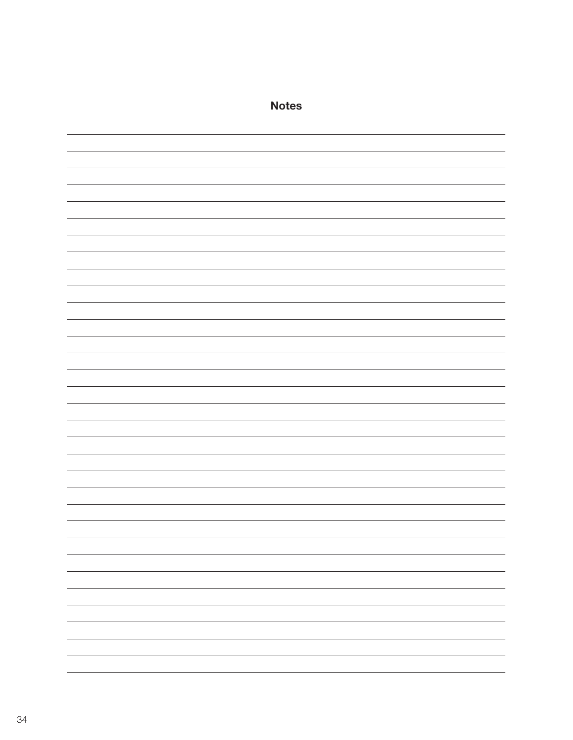| <b>Notes</b> |
|--------------|
|              |
|              |
|              |
|              |
|              |
|              |
|              |
|              |
|              |
|              |
|              |
|              |
|              |
|              |
|              |
|              |
|              |
|              |
|              |
|              |
|              |
|              |
|              |
|              |
|              |
|              |
|              |
|              |
|              |
|              |
|              |
| —            |
|              |
|              |
|              |
|              |
| -            |
|              |
|              |
|              |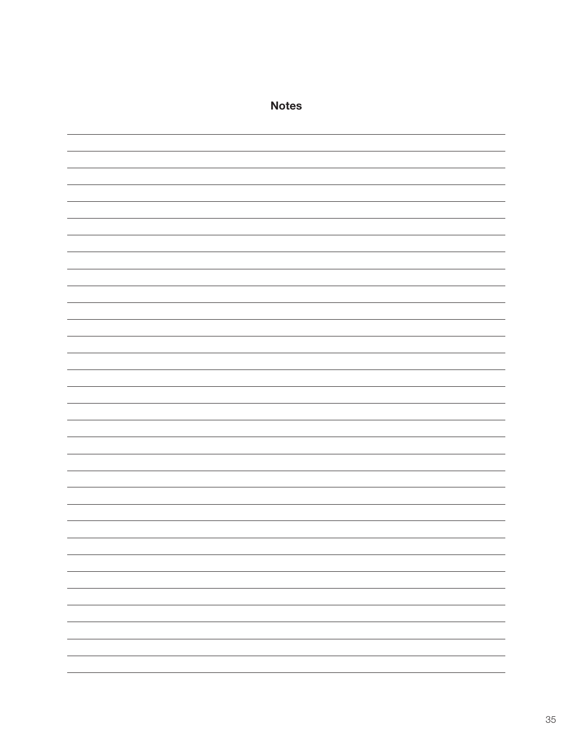| <b>Notes</b> |
|--------------|
|              |
|              |
|              |
|              |
|              |
|              |
|              |
|              |
|              |
|              |
|              |
|              |
|              |
|              |
|              |
|              |
|              |
|              |
|              |
|              |
|              |
|              |
|              |
|              |
|              |
|              |
|              |
|              |
|              |
| —            |
|              |
|              |
|              |
|              |
|              |
|              |
| -            |
|              |
|              |